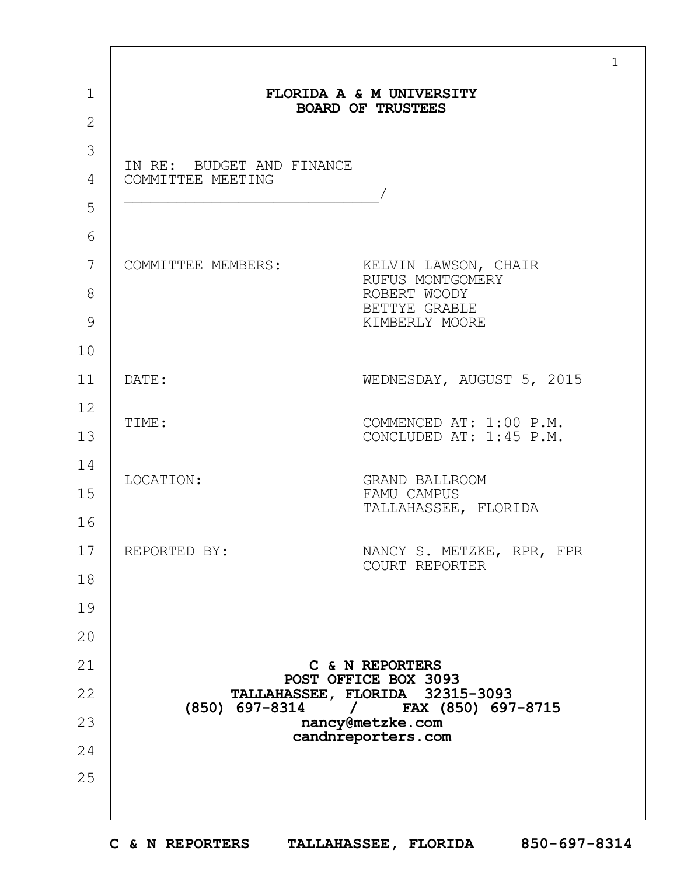|                                                | FLORIDA A & M UNIVERSITY<br><b>BOARD OF TRUSTEES</b>                                        |
|------------------------------------------------|---------------------------------------------------------------------------------------------|
|                                                |                                                                                             |
| IN RE: BUDGET AND FINANCE<br>COMMITTEE MEETING |                                                                                             |
| COMMITTEE MEMBERS:                             | KELVIN LAWSON, CHAIR<br>RUFUS MONTGOMERY<br>ROBERT WOODY<br>BETTYE GRABLE<br>KIMBERLY MOORE |
| DATE:                                          | WEDNESDAY, AUGUST 5, 2015                                                                   |
| TIME:                                          | COMMENCED AT: 1:00 P.M.<br>CONCLUDED AT: 1:45 P.M.                                          |
| LOCATION:                                      | <b>GRAND BALLROOM</b><br>FAMU CAMPUS<br>TALLAHASSEE, FLORIDA                                |
| REPORTED BY:                                   | NANCY S. METZKE, RPR, FPR<br>COURT REPORTER                                                 |
|                                                |                                                                                             |
|                                                | C & N REPORTERS                                                                             |
|                                                | POST OFFICE BOX 3093<br>TALLAHASSEE, FLORIDA 32315-3093                                     |
| (850) 697-8314                                 | <b>FAX (850) 697-8715</b><br>$\sqrt{2}$<br>nancy@metzke.com                                 |
|                                                | candnreporters.com                                                                          |
|                                                |                                                                                             |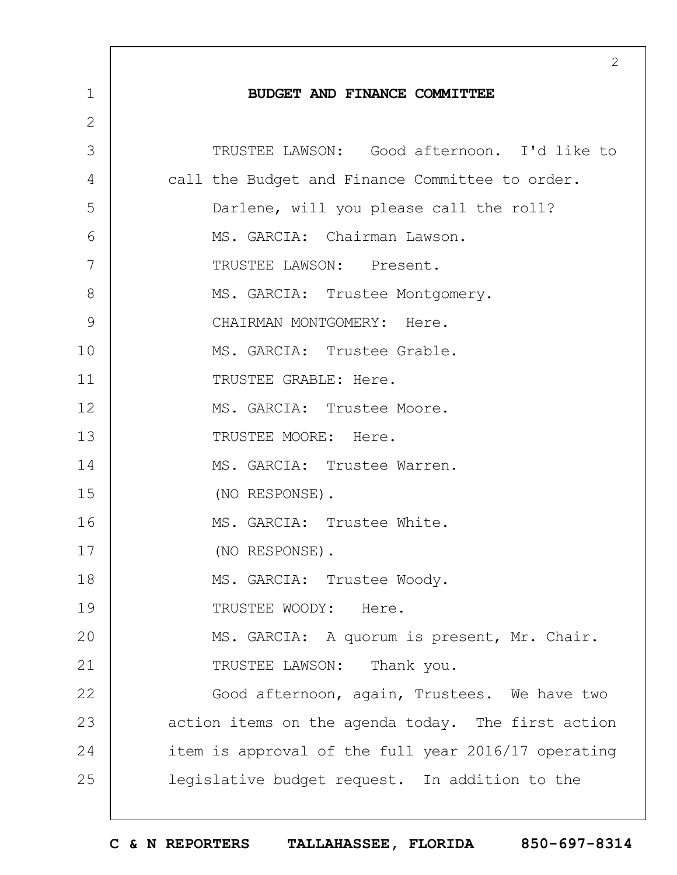|              | 2                                                   |
|--------------|-----------------------------------------------------|
| $\mathbf 1$  | BUDGET AND FINANCE COMMITTEE                        |
| $\mathbf{2}$ |                                                     |
| 3            | TRUSTEE LAWSON: Good afternoon. I'd like to         |
| 4            | call the Budget and Finance Committee to order.     |
| 5            | Darlene, will you please call the roll?             |
| 6            | MS. GARCIA: Chairman Lawson.                        |
| 7            | TRUSTEE LAWSON: Present.                            |
| 8            | MS. GARCIA: Trustee Montgomery.                     |
| 9            | CHAIRMAN MONTGOMERY: Here.                          |
| 10           | MS. GARCIA: Trustee Grable.                         |
| 11           | TRUSTEE GRABLE: Here.                               |
| 12           | MS. GARCIA: Trustee Moore.                          |
| 13           | TRUSTEE MOORE: Here.                                |
| 14           | MS. GARCIA: Trustee Warren.                         |
| 15           | (NO RESPONSE).                                      |
| 16           | MS. GARCIA: Trustee White.                          |
| 17           | (NO RESPONSE).                                      |
| 18           | MS. GARCIA: Trustee Woody.                          |
| 19           | TRUSTEE WOODY: Here.                                |
| 20           | MS. GARCIA: A quorum is present, Mr. Chair.         |
| 21           | TRUSTEE LAWSON: Thank you.                          |
| 22           | Good afternoon, again, Trustees. We have two        |
| 23           | action items on the agenda today. The first action  |
| 24           | item is approval of the full year 2016/17 operating |
| 25           | legislative budget request. In addition to the      |
|              |                                                     |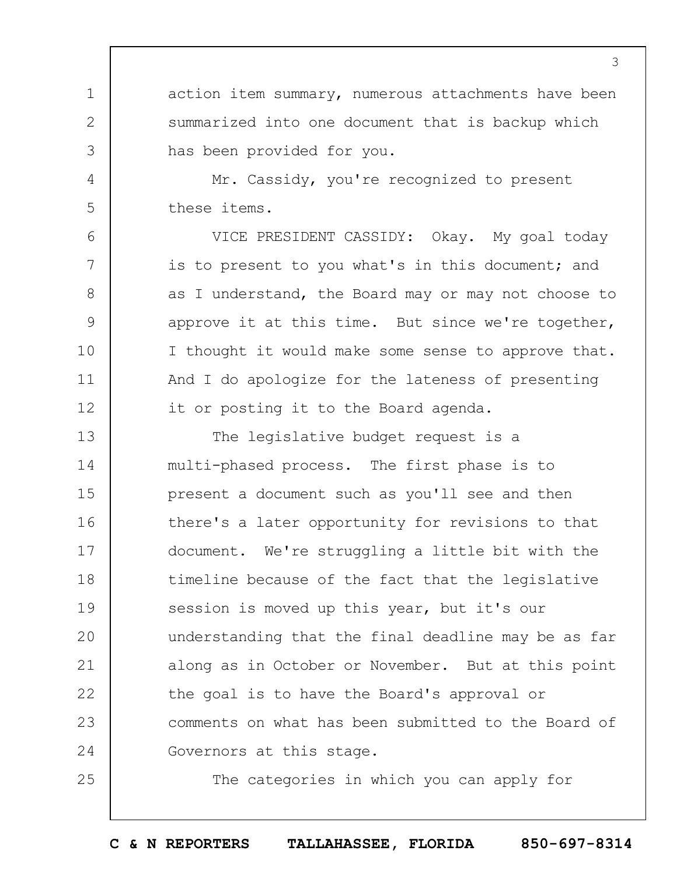action item summary, numerous attachments have been summarized into one document that is backup which has been provided for you.

Mr. Cassidy, you're recognized to present these items.

1

2

3

4

5

6

7

8

9

10

11

12

25

VICE PRESIDENT CASSIDY: Okay. My goal today is to present to you what's in this document; and as I understand, the Board may or may not choose to approve it at this time. But since we're together, I thought it would make some sense to approve that. And I do apologize for the lateness of presenting it or posting it to the Board agenda.

13 14 15 16 17 18 19  $20$ 21 22 23 24 The legislative budget request is a multi-phased process. The first phase is to present a document such as you'll see and then there's a later opportunity for revisions to that document. We're struggling a little bit with the timeline because of the fact that the legislative session is moved up this year, but it's our understanding that the final deadline may be as far along as in October or November. But at this point the goal is to have the Board's approval or comments on what has been submitted to the Board of Governors at this stage.

The categories in which you can apply for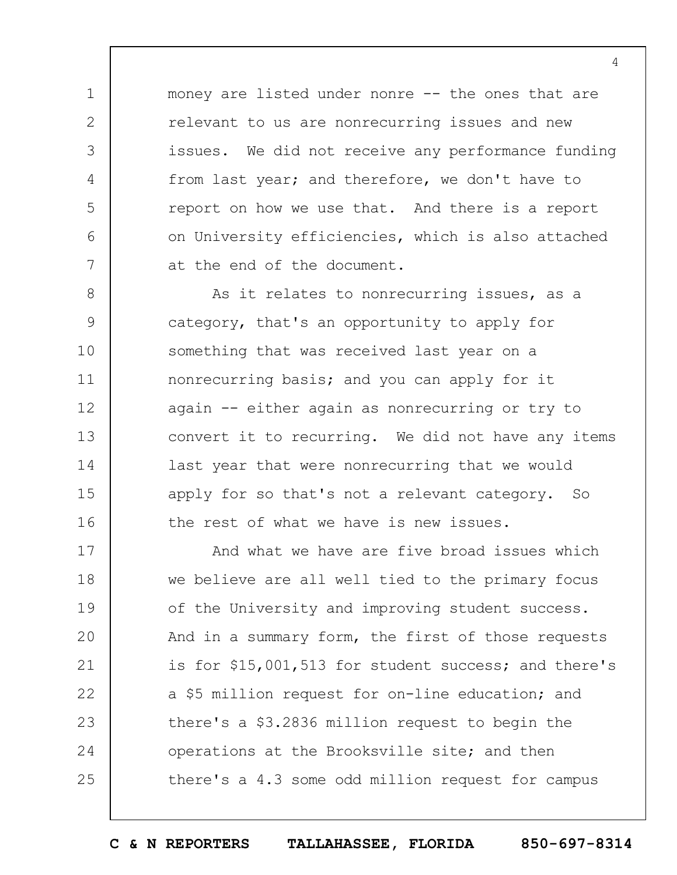money are listed under nonre -- the ones that are relevant to us are nonrecurring issues and new issues. We did not receive any performance funding from last year; and therefore, we don't have to report on how we use that. And there is a report on University efficiencies, which is also attached at the end of the document.

1

2

3

4

5

6

7

8 9 10 11 12 13 14 15 16 As it relates to nonrecurring issues, as a category, that's an opportunity to apply for something that was received last year on a nonrecurring basis; and you can apply for it again -- either again as nonrecurring or try to convert it to recurring. We did not have any items last year that were nonrecurring that we would apply for so that's not a relevant category. So the rest of what we have is new issues.

17 18 19  $20$ 21 22 23 24 25 And what we have are five broad issues which we believe are all well tied to the primary focus of the University and improving student success. And in a summary form, the first of those requests is for \$15,001,513 for student success; and there's a \$5 million request for on-line education; and there's a \$3.2836 million request to begin the operations at the Brooksville site; and then there's a 4.3 some odd million request for campus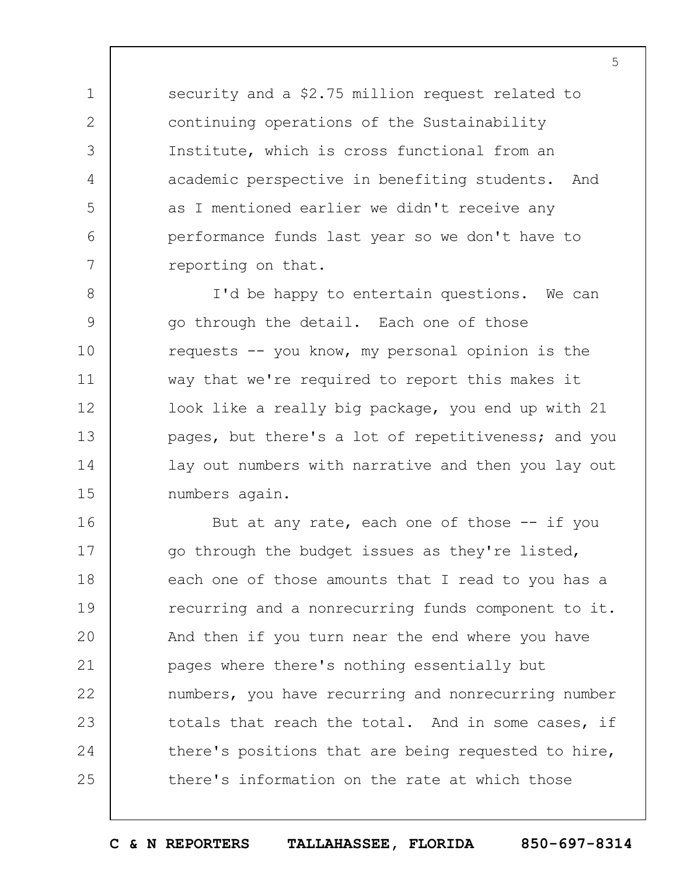security and a \$2.75 million request related to continuing operations of the Sustainability Institute, which is cross functional from an academic perspective in benefiting students. And as I mentioned earlier we didn't receive any performance funds last year so we don't have to reporting on that.

1

2

3

4

5

6

7

8 9 10 11 12 13 14 15 I'd be happy to entertain questions. We can go through the detail. Each one of those requests -- you know, my personal opinion is the way that we're required to report this makes it look like a really big package, you end up with 21 pages, but there's a lot of repetitiveness; and you lay out numbers with narrative and then you lay out numbers again.

16 17 18 19  $20$ 21 22 23 24 25 But at any rate, each one of those  $-$ - if you go through the budget issues as they're listed, each one of those amounts that I read to you has a recurring and a nonrecurring funds component to it. And then if you turn near the end where you have pages where there's nothing essentially but numbers, you have recurring and nonrecurring number totals that reach the total. And in some cases, if there's positions that are being requested to hire, there's information on the rate at which those

**C & N REPORTERS TALLAHASSEE, FLORIDA 850-697-8314**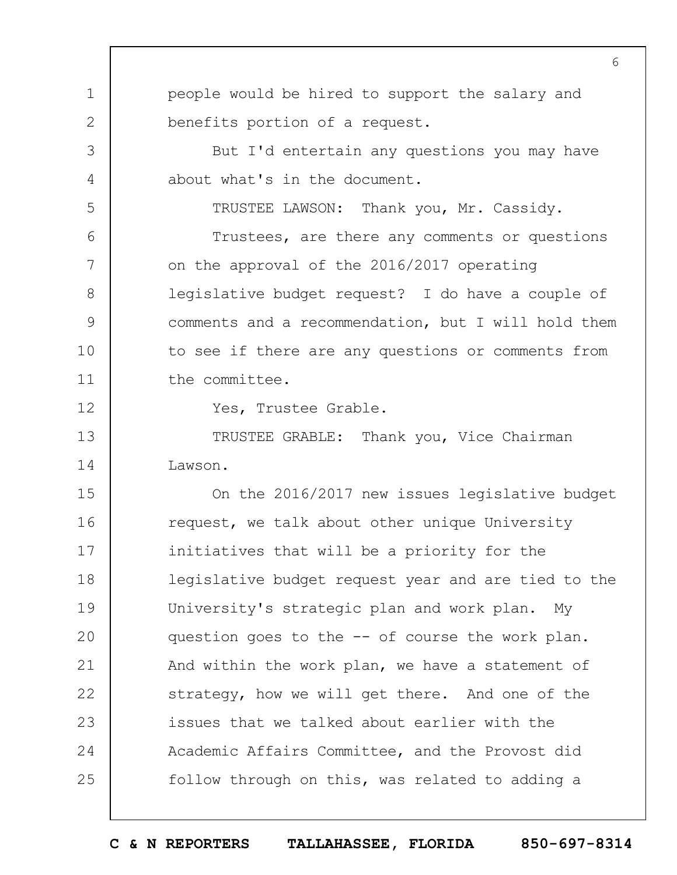1 2 3 4 5 6 7 8 9 10 11 12 13 14 15 16 17 18 19  $20$ 21 22 23 24 25 6 people would be hired to support the salary and benefits portion of a request. But I'd entertain any questions you may have about what's in the document. TRUSTEE LAWSON: Thank you, Mr. Cassidy. Trustees, are there any comments or questions on the approval of the 2016/2017 operating legislative budget request? I do have a couple of comments and a recommendation, but I will hold them to see if there are any questions or comments from the committee. Yes, Trustee Grable. TRUSTEE GRABLE: Thank you, Vice Chairman Lawson. On the 2016/2017 new issues legislative budget request, we talk about other unique University initiatives that will be a priority for the legislative budget request year and are tied to the University's strategic plan and work plan. My question goes to the -- of course the work plan. And within the work plan, we have a statement of strategy, how we will get there. And one of the issues that we talked about earlier with the Academic Affairs Committee, and the Provost did follow through on this, was related to adding a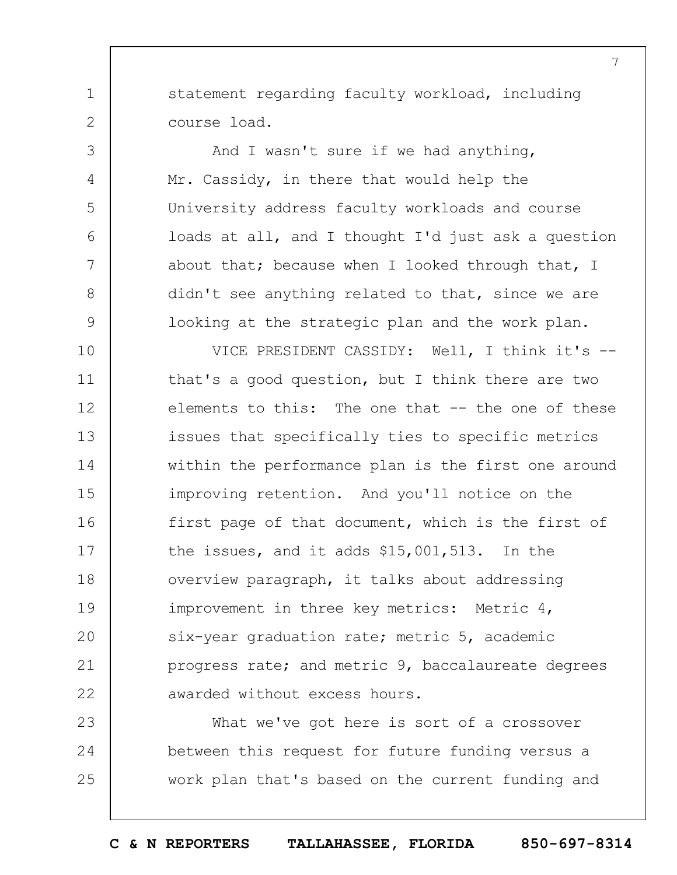statement regarding faculty workload, including course load.

1

2

3

4

5

6

7

8

9

And I wasn't sure if we had anything, Mr. Cassidy, in there that would help the University address faculty workloads and course loads at all, and I thought I'd just ask a question about that; because when I looked through that, I didn't see anything related to that, since we are looking at the strategic plan and the work plan.

10 11 12 13 14 15 16 17 18 19  $20$ 21 22 VICE PRESIDENT CASSIDY: Well, I think it's - that's a good question, but I think there are two elements to this: The one that -- the one of these issues that specifically ties to specific metrics within the performance plan is the first one around improving retention. And you'll notice on the first page of that document, which is the first of the issues, and it adds \$15,001,513. In the overview paragraph, it talks about addressing improvement in three key metrics: Metric 4, six-year graduation rate; metric 5, academic progress rate; and metric 9, baccalaureate degrees awarded without excess hours.

23 24 25 What we've got here is sort of a crossover between this request for future funding versus a work plan that's based on the current funding and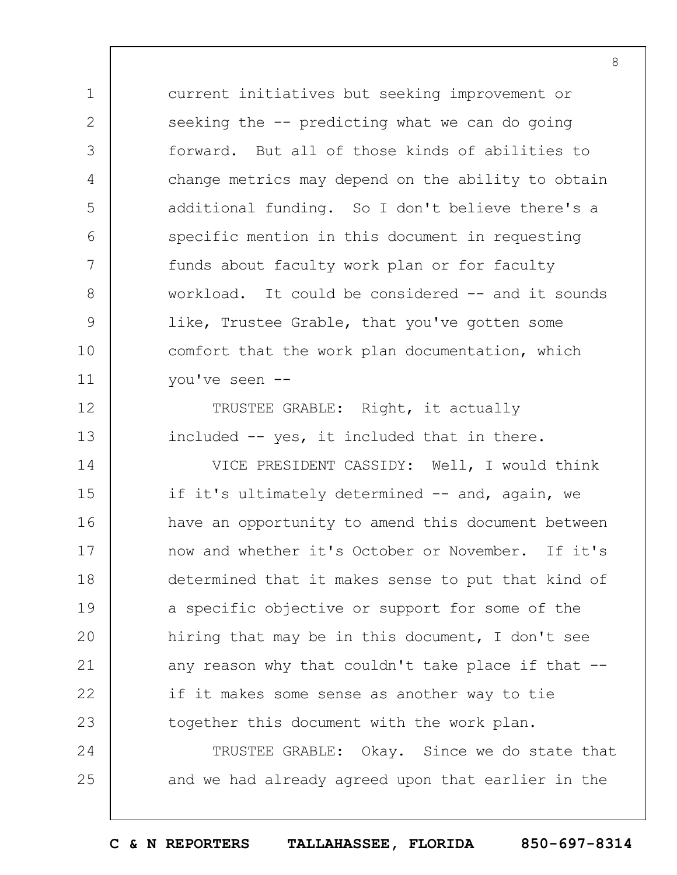current initiatives but seeking improvement or seeking the -- predicting what we can do going forward. But all of those kinds of abilities to change metrics may depend on the ability to obtain additional funding. So I don't believe there's a specific mention in this document in requesting funds about faculty work plan or for faculty workload. It could be considered -- and it sounds like, Trustee Grable, that you've gotten some comfort that the work plan documentation, which you've seen --

1

2

3

4

5

6

7

8

9

10

11

12

13

TRUSTEE GRABLE: Right, it actually included -- yes, it included that in there.

14 15 16 17 18 19  $20$ 21 22 23 VICE PRESIDENT CASSIDY: Well, I would think if it's ultimately determined -- and, again, we have an opportunity to amend this document between now and whether it's October or November. If it's determined that it makes sense to put that kind of a specific objective or support for some of the hiring that may be in this document, I don't see any reason why that couldn't take place if that -if it makes some sense as another way to tie together this document with the work plan.

24 25 TRUSTEE GRABLE: Okay. Since we do state that and we had already agreed upon that earlier in the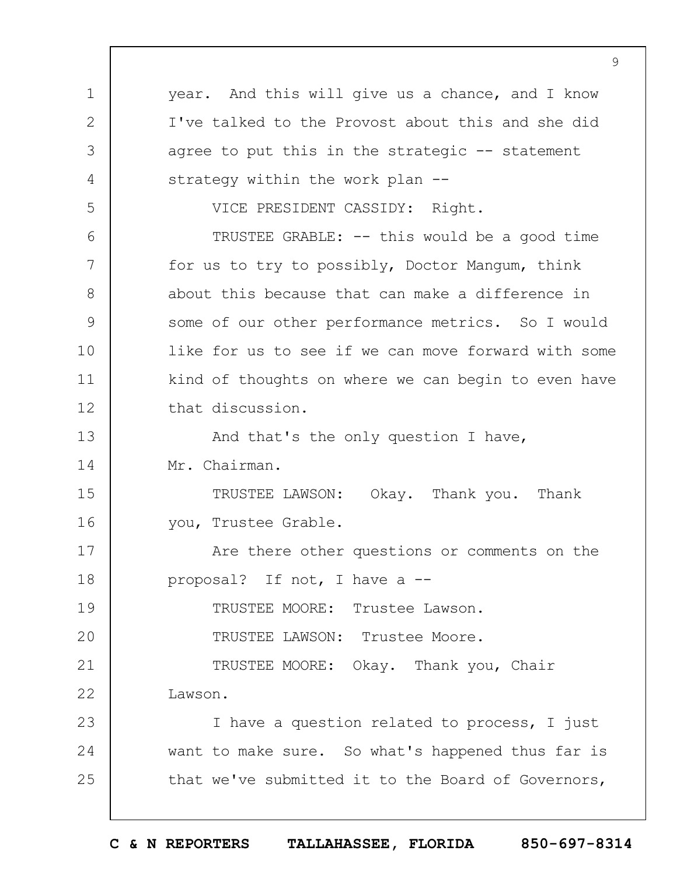1 2 3 4 5 6 7 8 9 10 11 12 13 14 15 16 17 18 19  $20$ 21 22 23 24 25 9 year. And this will give us a chance, and I know I've talked to the Provost about this and she did agree to put this in the strategic  $-$ - statement strategy within the work plan --VICE PRESIDENT CASSIDY: Right. TRUSTEE GRABLE: -- this would be a good time for us to try to possibly, Doctor Mangum, think about this because that can make a difference in some of our other performance metrics. So I would like for us to see if we can move forward with some kind of thoughts on where we can begin to even have that discussion. And that's the only question I have, Mr. Chairman. TRUSTEE LAWSON: Okay. Thank you. Thank you, Trustee Grable. Are there other questions or comments on the proposal? If not, I have a -- TRUSTEE MOORE: Trustee Lawson. TRUSTEE LAWSON: Trustee Moore. TRUSTEE MOORE: Okay. Thank you, Chair Lawson. I have a question related to process, I just want to make sure. So what's happened thus far is that we've submitted it to the Board of Governors,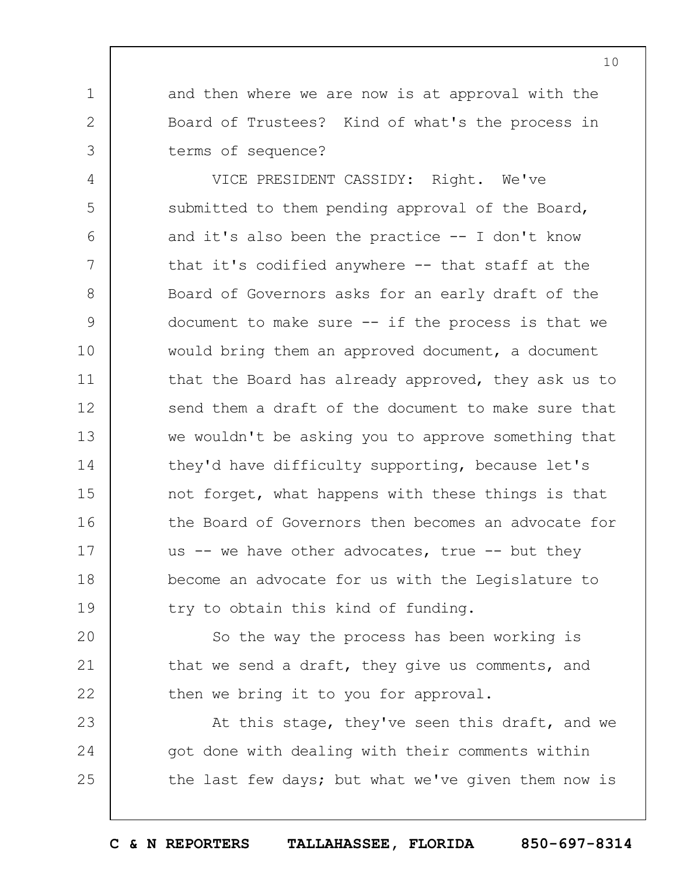and then where we are now is at approval with the Board of Trustees? Kind of what's the process in terms of sequence?

1

2

3

4 5 6 7 8 9 10 11 12 13 14 15 16 17 18 19 VICE PRESIDENT CASSIDY: Right. We've submitted to them pending approval of the Board, and it's also been the practice -- I don't know that it's codified anywhere  $-$ - that staff at the Board of Governors asks for an early draft of the document to make sure  $--$  if the process is that we would bring them an approved document, a document that the Board has already approved, they ask us to send them a draft of the document to make sure that we wouldn't be asking you to approve something that they'd have difficulty supporting, because let's not forget, what happens with these things is that the Board of Governors then becomes an advocate for us  $--$  we have other advocates, true  $--$  but they become an advocate for us with the Legislature to try to obtain this kind of funding.

 $20$ 21 22 So the way the process has been working is that we send a draft, they give us comments, and then we bring it to you for approval.

23 24 25 At this stage, they've seen this draft, and we got done with dealing with their comments within the last few days; but what we've given them now is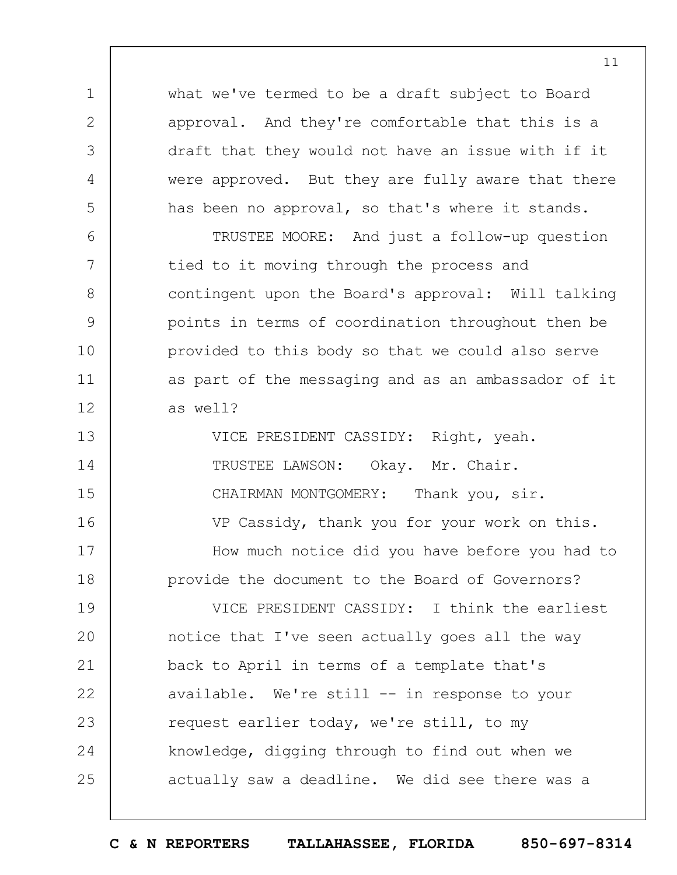what we've termed to be a draft subject to Board approval. And they're comfortable that this is a draft that they would not have an issue with if it were approved. But they are fully aware that there has been no approval, so that's where it stands.

1

2

3

4

5

6

7

8

9

10

11

12

TRUSTEE MOORE: And just a follow-up question tied to it moving through the process and contingent upon the Board's approval: Will talking points in terms of coordination throughout then be provided to this body so that we could also serve as part of the messaging and as an ambassador of it as well?

13 14 15 16 17 18 VICE PRESIDENT CASSIDY: Right, yeah. TRUSTEE LAWSON: Okay. Mr. Chair. CHAIRMAN MONTGOMERY: Thank you, sir. VP Cassidy, thank you for your work on this. How much notice did you have before you had to provide the document to the Board of Governors?

19  $20$ 21 22 23 24 25 VICE PRESIDENT CASSIDY: I think the earliest notice that I've seen actually goes all the way back to April in terms of a template that's available. We're still -- in response to your request earlier today, we're still, to my knowledge, digging through to find out when we actually saw a deadline. We did see there was a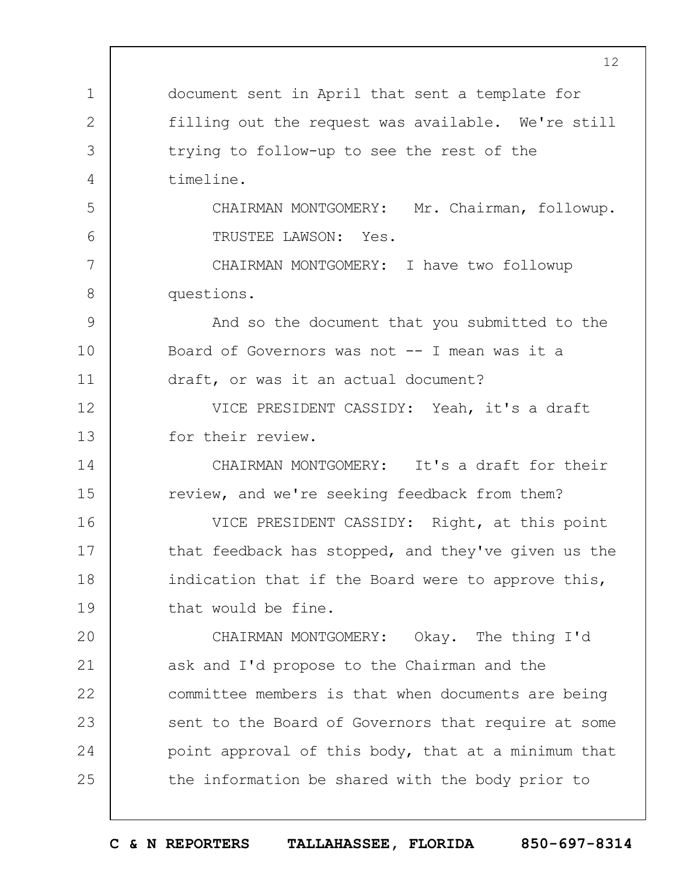1 2 3 4 5 6 7 8 9 10 11 12 13 14 15 16 17 18 19  $20$ 21 22 23 24 25 12 document sent in April that sent a template for filling out the request was available. We're still trying to follow-up to see the rest of the timeline. CHAIRMAN MONTGOMERY: Mr. Chairman, followup. TRUSTEE LAWSON: Yes. CHAIRMAN MONTGOMERY: I have two followup questions. And so the document that you submitted to the Board of Governors was not -- I mean was it a draft, or was it an actual document? VICE PRESIDENT CASSIDY: Yeah, it's a draft for their review. CHAIRMAN MONTGOMERY: It's a draft for their review, and we're seeking feedback from them? VICE PRESIDENT CASSIDY: Right, at this point that feedback has stopped, and they've given us the indication that if the Board were to approve this, that would be fine. CHAIRMAN MONTGOMERY: Okay. The thing I'd ask and I'd propose to the Chairman and the committee members is that when documents are being sent to the Board of Governors that require at some point approval of this body, that at a minimum that the information be shared with the body prior to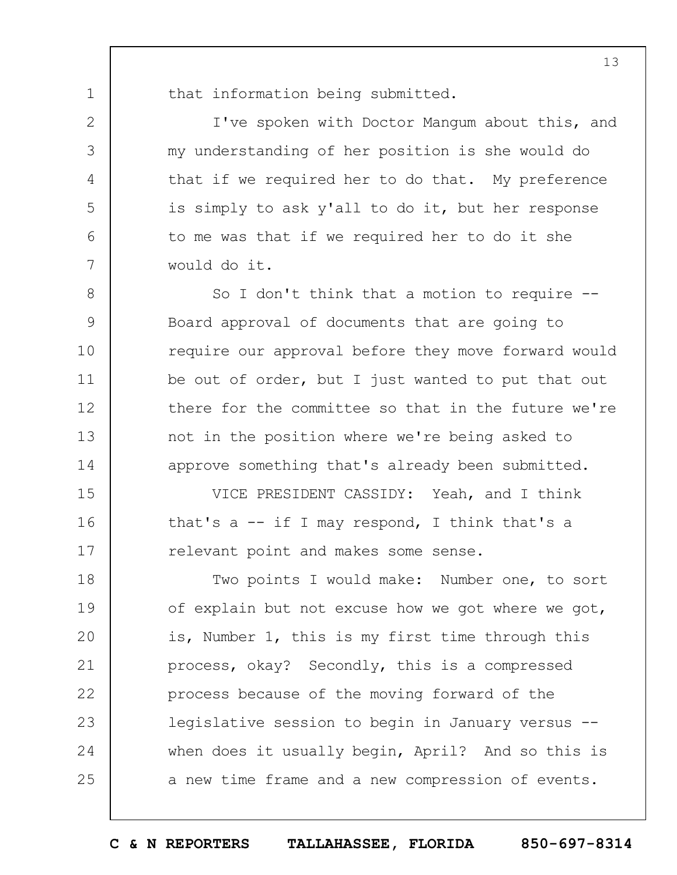1 2

3

4

5

6

7

8

9

10

11

12

13

14

that information being submitted.

I've spoken with Doctor Mangum about this, and my understanding of her position is she would do that if we required her to do that. My preference is simply to ask y'all to do it, but her response to me was that if we required her to do it she would do it.

So I don't think that a motion to require --Board approval of documents that are going to require our approval before they move forward would be out of order, but I just wanted to put that out there for the committee so that in the future we're not in the position where we're being asked to approve something that's already been submitted.

15 16 17 VICE PRESIDENT CASSIDY: Yeah, and I think that's  $a$  -- if I may respond, I think that's a relevant point and makes some sense.

18 19  $20$ 21 22 23 24 25 Two points I would make: Number one, to sort of explain but not excuse how we got where we got, is, Number 1, this is my first time through this process, okay? Secondly, this is a compressed process because of the moving forward of the legislative session to begin in January versus - when does it usually begin, April? And so this is a new time frame and a new compression of events.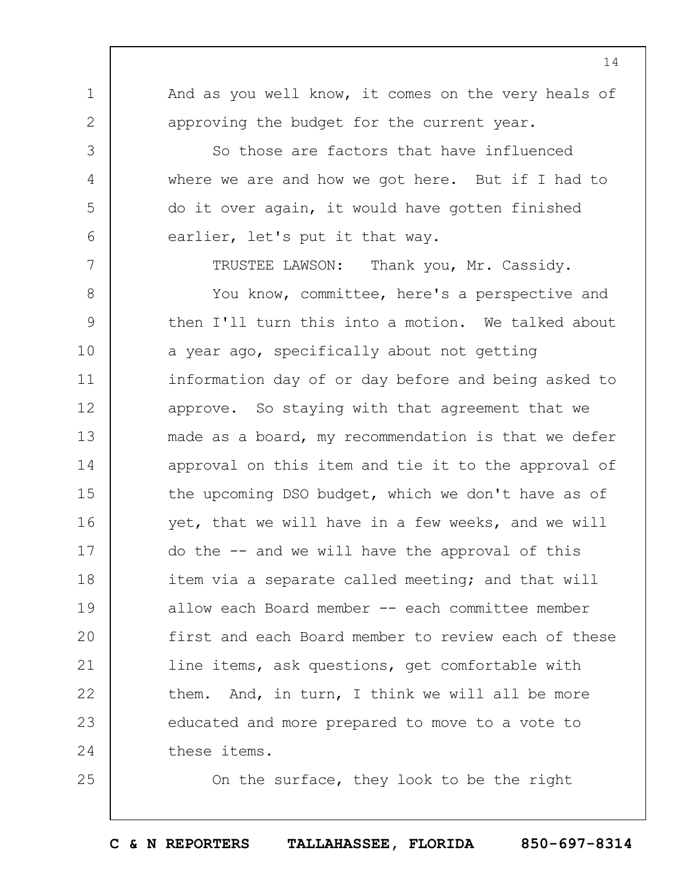14

And as you well know, it comes on the very heals of approving the budget for the current year.

1

2

3

4

5

6

7

25

So those are factors that have influenced where we are and how we got here. But if I had to do it over again, it would have gotten finished earlier, let's put it that way.

TRUSTEE LAWSON: Thank you, Mr. Cassidy.

8 9 10 11 12 13 14 15 16 17 18 19  $20$ 21 22 23 24 You know, committee, here's a perspective and then I'll turn this into a motion. We talked about a year ago, specifically about not getting information day of or day before and being asked to approve. So staying with that agreement that we made as a board, my recommendation is that we defer approval on this item and tie it to the approval of the upcoming DSO budget, which we don't have as of yet, that we will have in a few weeks, and we will do the -- and we will have the approval of this item via a separate called meeting; and that will allow each Board member -- each committee member first and each Board member to review each of these line items, ask questions, get comfortable with them. And, in turn, I think we will all be more educated and more prepared to move to a vote to these items.

On the surface, they look to be the right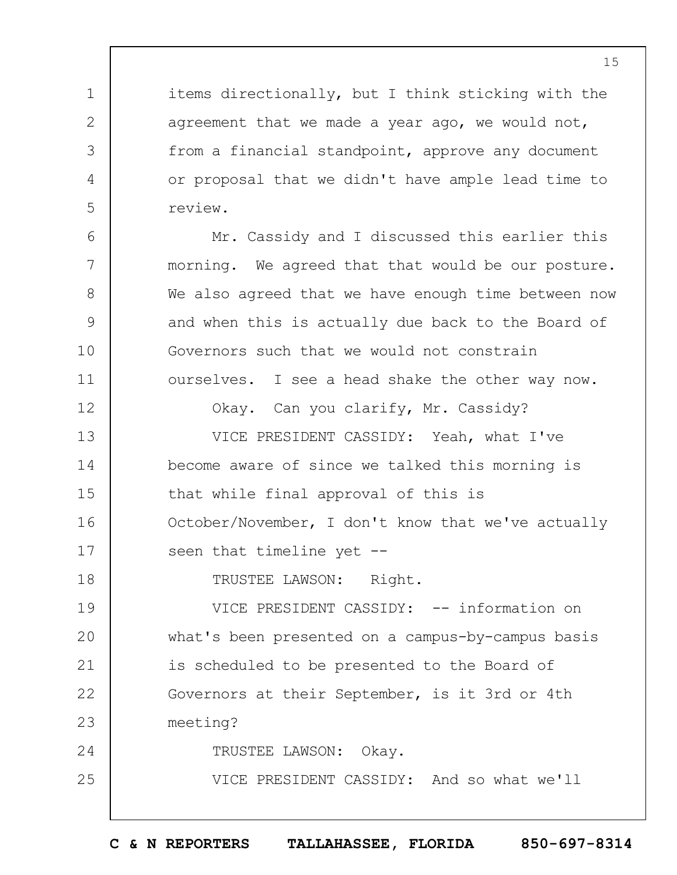items directionally, but I think sticking with the agreement that we made a year ago, we would not, from a financial standpoint, approve any document or proposal that we didn't have ample lead time to review.

1

2

3

4

5

6

7

8

9

10

11

12

18

25

Mr. Cassidy and I discussed this earlier this morning. We agreed that that would be our posture. We also agreed that we have enough time between now and when this is actually due back to the Board of Governors such that we would not constrain ourselves. I see a head shake the other way now.

Okay. Can you clarify, Mr. Cassidy?

13 14 15 16 17 VICE PRESIDENT CASSIDY: Yeah, what I've become aware of since we talked this morning is that while final approval of this is October/November, I don't know that we've actually seen that timeline yet --

TRUSTEE LAWSON: Right.

19  $20$ 21 22 23 24 VICE PRESIDENT CASSIDY: -- information on what's been presented on a campus-by-campus basis is scheduled to be presented to the Board of Governors at their September, is it 3rd or 4th meeting?

TRUSTEE LAWSON: Okay.

VICE PRESIDENT CASSIDY: And so what we'll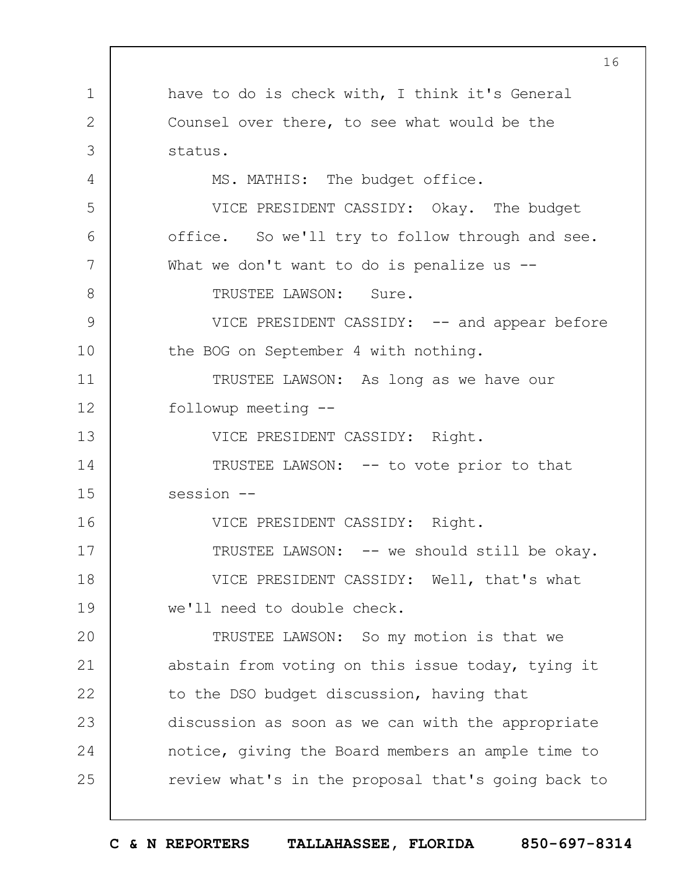1 2 3 4 5 6 7 8 9 10 11 12 13 14 15 16 17 18 19  $20$ 21 22 23 24 25 16 have to do is check with, I think it's General Counsel over there, to see what would be the status. MS. MATHIS: The budget office. VICE PRESIDENT CASSIDY: Okay. The budget office. So we'll try to follow through and see. What we don't want to do is penalize us  $-$ -TRUSTEE LAWSON: Sure. VICE PRESIDENT CASSIDY: -- and appear before the BOG on September 4 with nothing. TRUSTEE LAWSON: As long as we have our followup meeting -- VICE PRESIDENT CASSIDY: Right. TRUSTEE LAWSON: -- to vote prior to that session --VICE PRESIDENT CASSIDY: Right. TRUSTEE LAWSON: -- we should still be okay. VICE PRESIDENT CASSIDY: Well, that's what we'll need to double check. TRUSTEE LAWSON: So my motion is that we abstain from voting on this issue today, tying it to the DSO budget discussion, having that discussion as soon as we can with the appropriate notice, giving the Board members an ample time to review what's in the proposal that's going back to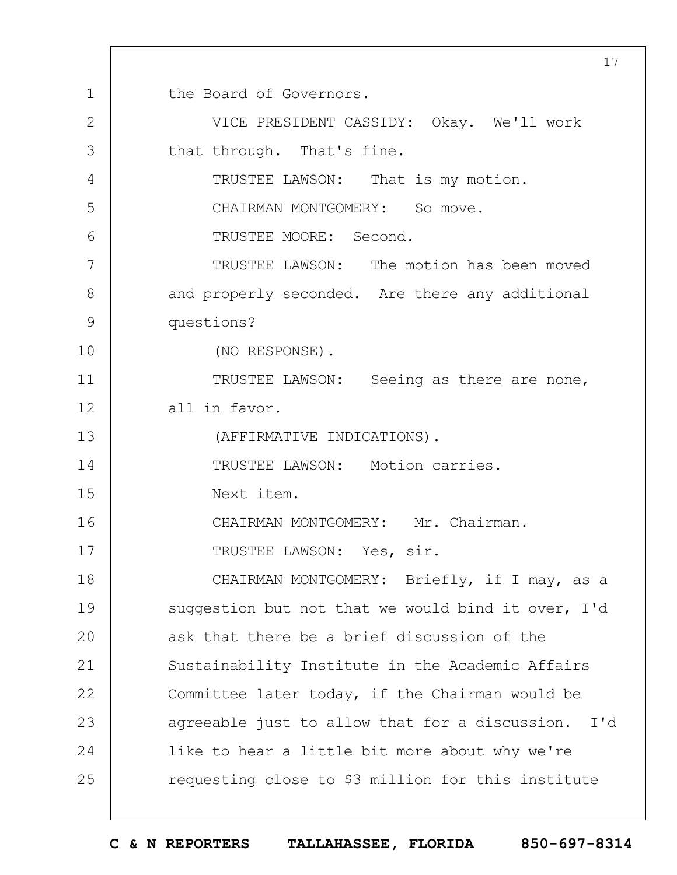1 2 3 4 5 6 7 8 9 10 11 12 13 14 15 16 17 18 19  $20$ 21 22 23 24 25 17 the Board of Governors. VICE PRESIDENT CASSIDY: Okay. We'll work that through. That's fine. TRUSTEE LAWSON: That is my motion. CHAIRMAN MONTGOMERY: So move. TRUSTEE MOORE: Second. TRUSTEE LAWSON: The motion has been moved and properly seconded. Are there any additional questions? (NO RESPONSE). TRUSTEE LAWSON: Seeing as there are none, all in favor. (AFFIRMATIVE INDICATIONS). TRUSTEE LAWSON: Motion carries. Next item. CHAIRMAN MONTGOMERY: Mr. Chairman. TRUSTEE LAWSON: Yes, sir. CHAIRMAN MONTGOMERY: Briefly, if I may, as a suggestion but not that we would bind it over, I'd ask that there be a brief discussion of the Sustainability Institute in the Academic Affairs Committee later today, if the Chairman would be agreeable just to allow that for a discussion. I'd like to hear a little bit more about why we're requesting close to \$3 million for this institute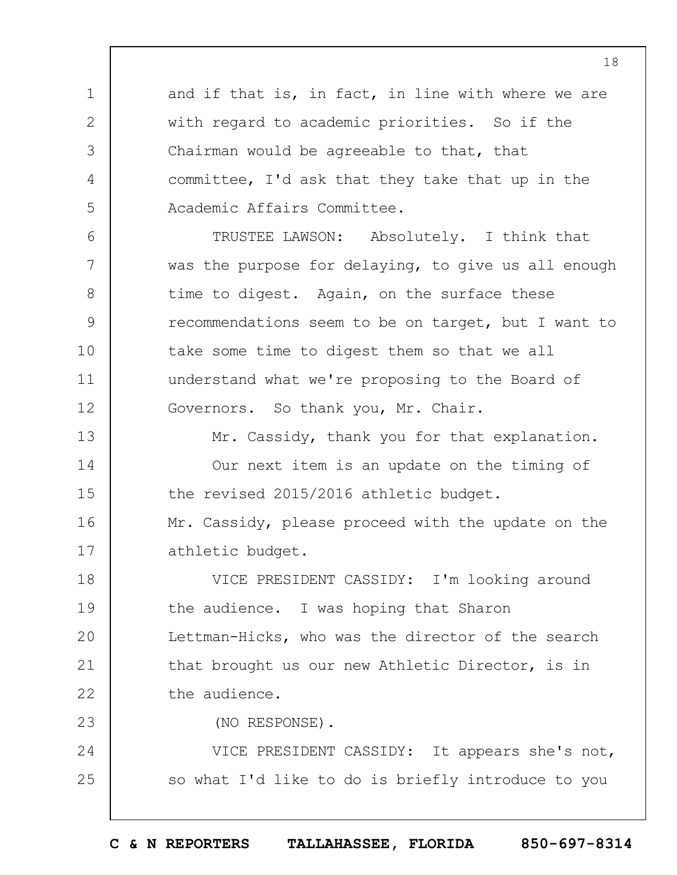and if that is, in fact, in line with where we are with regard to academic priorities. So if the Chairman would be agreeable to that, that committee, I'd ask that they take that up in the Academic Affairs Committee.

6 7 8 9 10 11 12 TRUSTEE LAWSON: Absolutely. I think that was the purpose for delaying, to give us all enough time to digest. Again, on the surface these recommendations seem to be on target, but I want to take some time to digest them so that we all understand what we're proposing to the Board of Governors. So thank you, Mr. Chair.

13 14 15 16 17 Mr. Cassidy, thank you for that explanation. Our next item is an update on the timing of the revised 2015/2016 athletic budget. Mr. Cassidy, please proceed with the update on the athletic budget.

18 19  $20$ 21 22 VICE PRESIDENT CASSIDY: I'm looking around the audience. I was hoping that Sharon Lettman-Hicks, who was the director of the search that brought us our new Athletic Director, is in the audience.

23

1

2

3

4

5

(NO RESPONSE).

24 25 VICE PRESIDENT CASSIDY: It appears she's not, so what I'd like to do is briefly introduce to you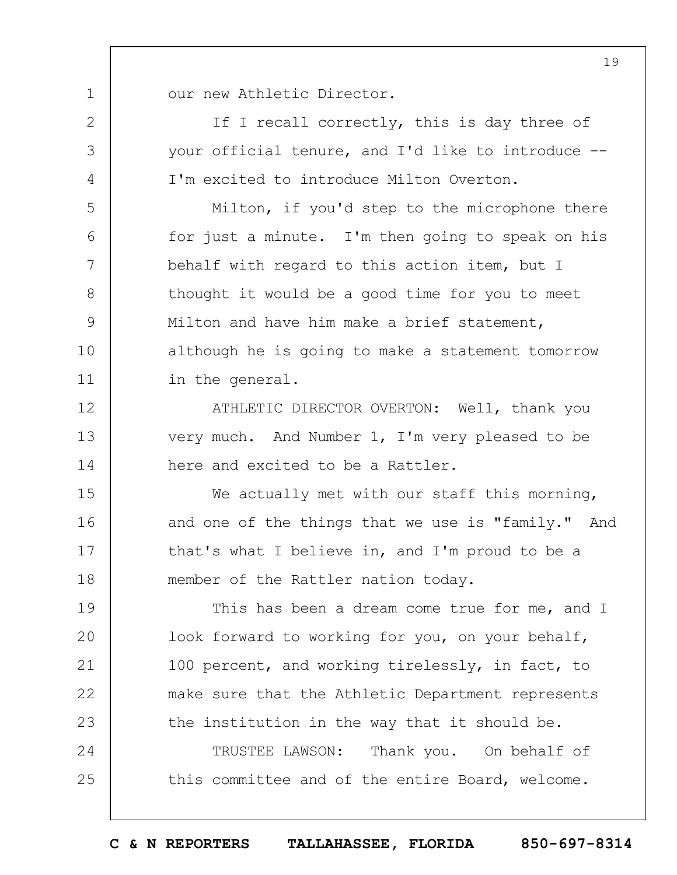1 our new Athletic Director.

2

3

4

5

6

7

8

9

10

11

12

13

14

If I recall correctly, this is day three of your official tenure, and I'd like to introduce -- I'm excited to introduce Milton Overton.

Milton, if you'd step to the microphone there for just a minute. I'm then going to speak on his behalf with regard to this action item, but I thought it would be a good time for you to meet Milton and have him make a brief statement, although he is going to make a statement tomorrow in the general.

ATHLETIC DIRECTOR OVERTON: Well, thank you very much. And Number 1, I'm very pleased to be here and excited to be a Rattler.

15 16 17 18 We actually met with our staff this morning, and one of the things that we use is "family." And that's what I believe in, and I'm proud to be a member of the Rattler nation today.

19  $20$ 21 22 23 This has been a dream come true for me, and I look forward to working for you, on your behalf, 100 percent, and working tirelessly, in fact, to make sure that the Athletic Department represents the institution in the way that it should be.

24 25 TRUSTEE LAWSON: Thank you. On behalf of this committee and of the entire Board, welcome.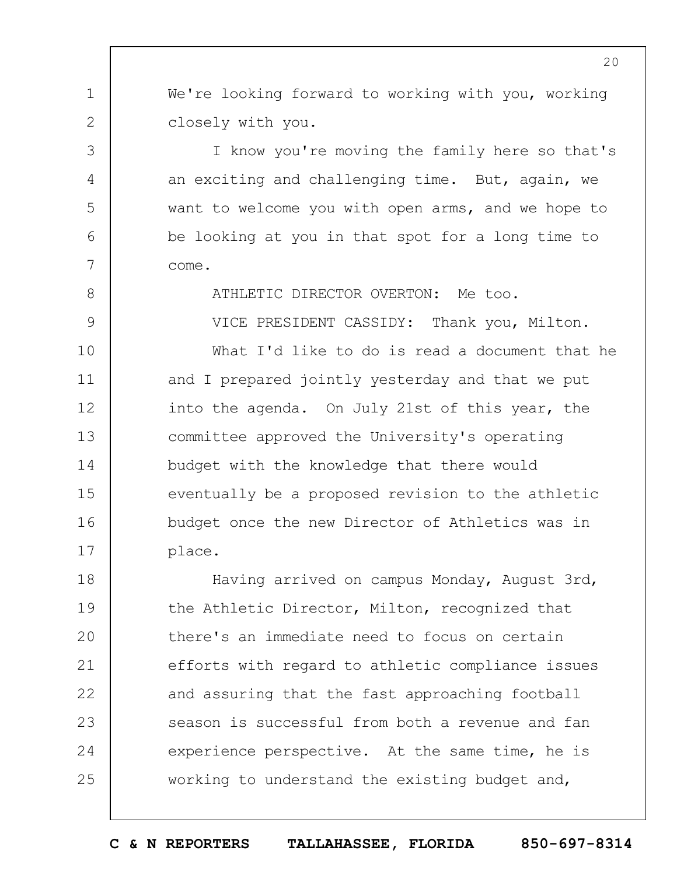We're looking forward to working with you, working closely with you.

1

2

3

4

5

6

7

8

9

10

11

15

16

17

I know you're moving the family here so that's an exciting and challenging time. But, again, we want to welcome you with open arms, and we hope to be looking at you in that spot for a long time to come.

ATHLETIC DIRECTOR OVERTON: Me too.

VICE PRESIDENT CASSIDY: Thank you, Milton.

12 13 14 What I'd like to do is read a document that he and I prepared jointly yesterday and that we put into the agenda. On July 21st of this year, the committee approved the University's operating budget with the knowledge that there would eventually be a proposed revision to the athletic budget once the new Director of Athletics was in place.

18 19  $20$ 21 22 23 24 25 Having arrived on campus Monday, August 3rd, the Athletic Director, Milton, recognized that there's an immediate need to focus on certain efforts with regard to athletic compliance issues and assuring that the fast approaching football season is successful from both a revenue and fan experience perspective. At the same time, he is working to understand the existing budget and,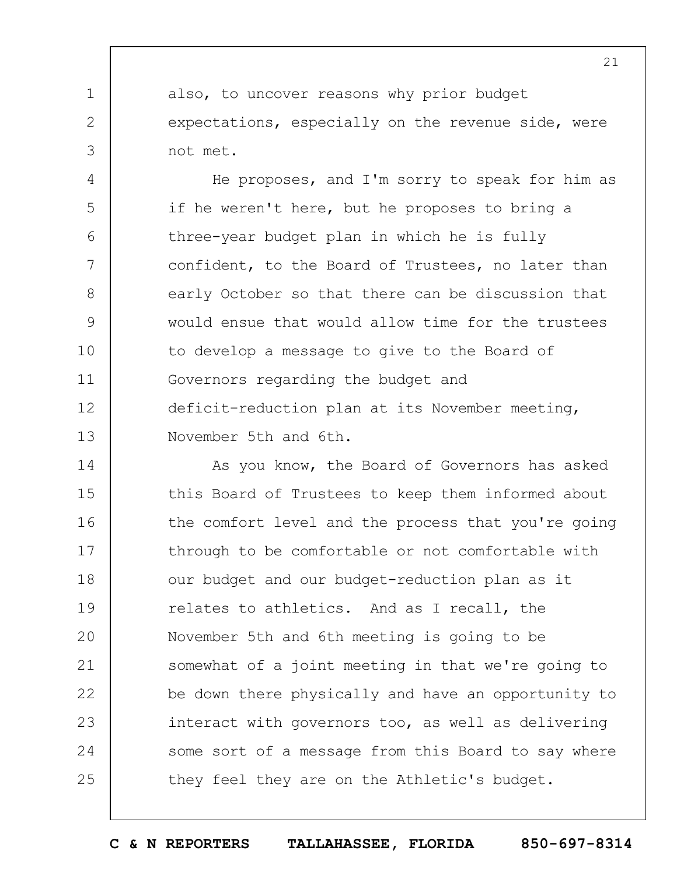also, to uncover reasons why prior budget expectations, especially on the revenue side, were not met.

1

2

3

4 5 6 7 8 9 10 11 12 13 He proposes, and I'm sorry to speak for him as if he weren't here, but he proposes to bring a three-year budget plan in which he is fully confident, to the Board of Trustees, no later than early October so that there can be discussion that would ensue that would allow time for the trustees to develop a message to give to the Board of Governors regarding the budget and deficit-reduction plan at its November meeting, November 5th and 6th.

14 15 16 17 18 19  $20$ 21 22 23 24 25 As you know, the Board of Governors has asked this Board of Trustees to keep them informed about the comfort level and the process that you're going through to be comfortable or not comfortable with our budget and our budget-reduction plan as it relates to athletics. And as I recall, the November 5th and 6th meeting is going to be somewhat of a joint meeting in that we're going to be down there physically and have an opportunity to interact with governors too, as well as delivering some sort of a message from this Board to say where they feel they are on the Athletic's budget.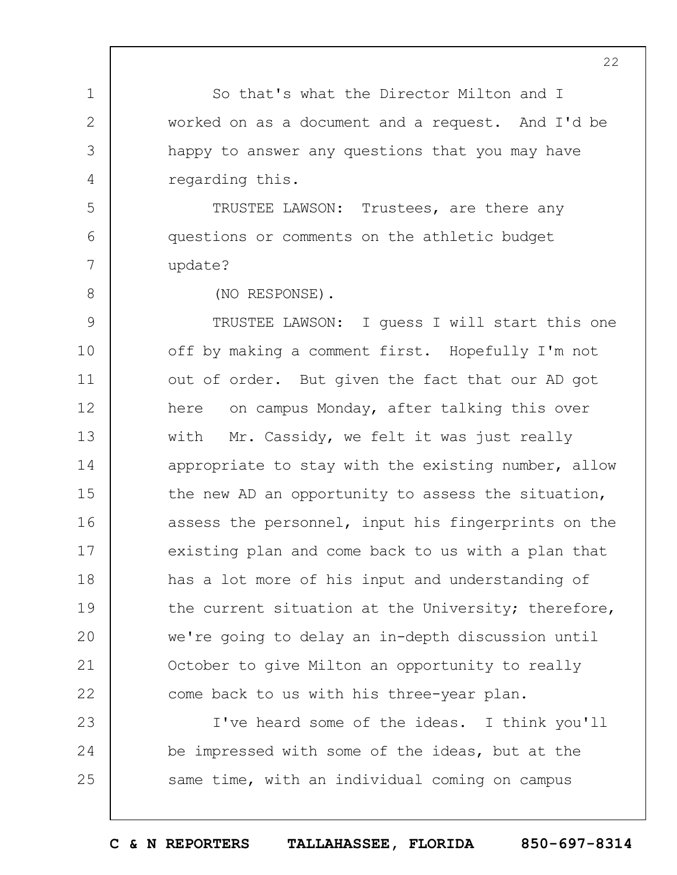1 2 3 4 5 6 7 8 9 10 11 12 13 14 15 16 17 18 19  $20$ 21 22 23 24 25 22 So that's what the Director Milton and I worked on as a document and a request. And I'd be happy to answer any questions that you may have regarding this. TRUSTEE LAWSON: Trustees, are there any questions or comments on the athletic budget update? (NO RESPONSE). TRUSTEE LAWSON: I guess I will start this one off by making a comment first. Hopefully I'm not out of order. But given the fact that our AD got here on campus Monday, after talking this over with Mr. Cassidy, we felt it was just really appropriate to stay with the existing number, allow the new AD an opportunity to assess the situation, assess the personnel, input his fingerprints on the existing plan and come back to us with a plan that has a lot more of his input and understanding of the current situation at the University; therefore, we're going to delay an in-depth discussion until October to give Milton an opportunity to really come back to us with his three-year plan. I've heard some of the ideas. I think you'll be impressed with some of the ideas, but at the same time, with an individual coming on campus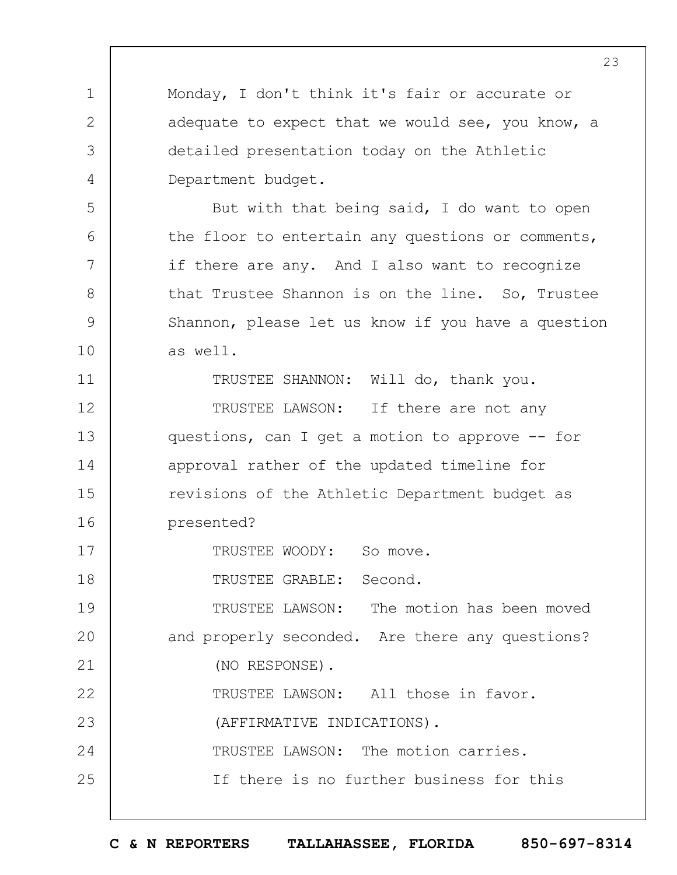Monday, I don't think it's fair or accurate or adequate to expect that we would see, you know, a detailed presentation today on the Athletic Department budget.

But with that being said, I do want to open the floor to entertain any questions or comments, if there are any. And I also want to recognize that Trustee Shannon is on the line. So, Trustee Shannon, please let us know if you have a question as well.

TRUSTEE SHANNON: Will do, thank you.

12 13 14 15 16 TRUSTEE LAWSON: If there are not any questions, can I get a motion to approve -- for approval rather of the updated timeline for revisions of the Athletic Department budget as presented?

TRUSTEE WOODY: So move.

18 TRUSTEE GRABLE: Second.

1

2

3

4

5

6

7

8

9

10

11

17

22

25

19  $20$ 21 TRUSTEE LAWSON: The motion has been moved and properly seconded. Are there any questions? (NO RESPONSE).

TRUSTEE LAWSON: All those in favor.

23 (AFFIRMATIVE INDICATIONS).

24 TRUSTEE LAWSON: The motion carries.

If there is no further business for this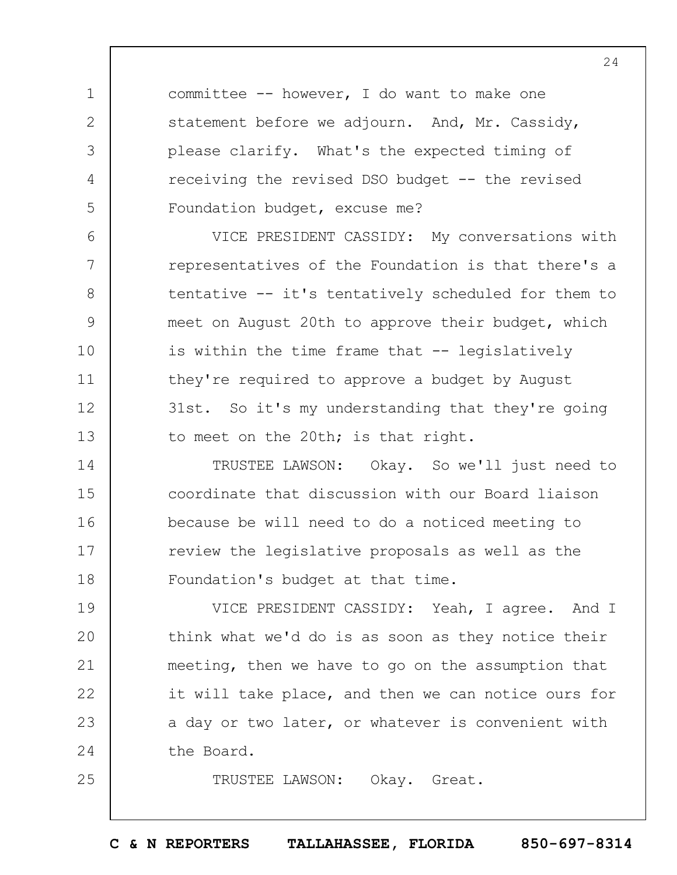committee -- however, I do want to make one statement before we adjourn. And, Mr. Cassidy, please clarify. What's the expected timing of receiving the revised DSO budget -- the revised Foundation budget, excuse me?

1

2

3

4

5

6

7

8

9

10

11

12

13

25

VICE PRESIDENT CASSIDY: My conversations with representatives of the Foundation is that there's a tentative -- it's tentatively scheduled for them to meet on August 20th to approve their budget, which is within the time frame that -- legislatively they're required to approve a budget by August 31st. So it's my understanding that they're going to meet on the 20th; is that right.

14 15 16 17 18 TRUSTEE LAWSON: Okay. So we'll just need to coordinate that discussion with our Board liaison because be will need to do a noticed meeting to review the legislative proposals as well as the Foundation's budget at that time.

19  $20$ 21 22 23 24 VICE PRESIDENT CASSIDY: Yeah, I agree. And I think what we'd do is as soon as they notice their meeting, then we have to go on the assumption that it will take place, and then we can notice ours for a day or two later, or whatever is convenient with the Board.

TRUSTEE LAWSON: Okay. Great.

**C & N REPORTERS TALLAHASSEE, FLORIDA 850-697-8314**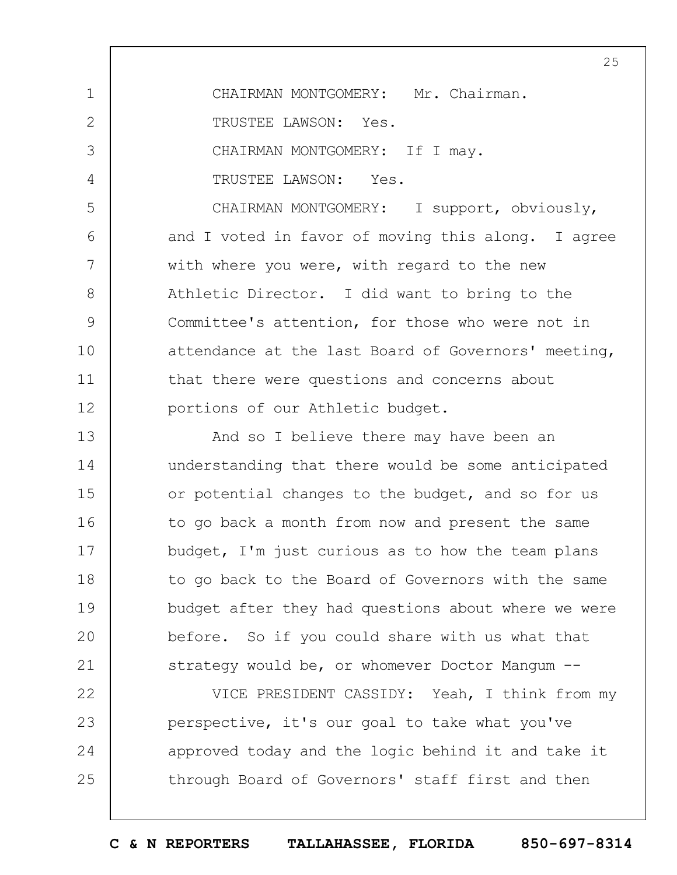1 2 3 4 5 6 7 8 9 10 11 12 13 14 15 16 17 18 19  $20$ 21 22 CHAIRMAN MONTGOMERY: Mr. Chairman. TRUSTEE LAWSON: Yes. CHAIRMAN MONTGOMERY: If I may. TRUSTEE LAWSON: Yes. CHAIRMAN MONTGOMERY: I support, obviously, and I voted in favor of moving this along. I agree with where you were, with regard to the new Athletic Director. I did want to bring to the Committee's attention, for those who were not in attendance at the last Board of Governors' meeting, that there were questions and concerns about portions of our Athletic budget. And so I believe there may have been an understanding that there would be some anticipated or potential changes to the budget, and so for us to go back a month from now and present the same budget, I'm just curious as to how the team plans to go back to the Board of Governors with the same budget after they had questions about where we were before. So if you could share with us what that strategy would be, or whomever Doctor Mangum --VICE PRESIDENT CASSIDY: Yeah, I think from my

25

23 24 25 perspective, it's our goal to take what you've approved today and the logic behind it and take it through Board of Governors' staff first and then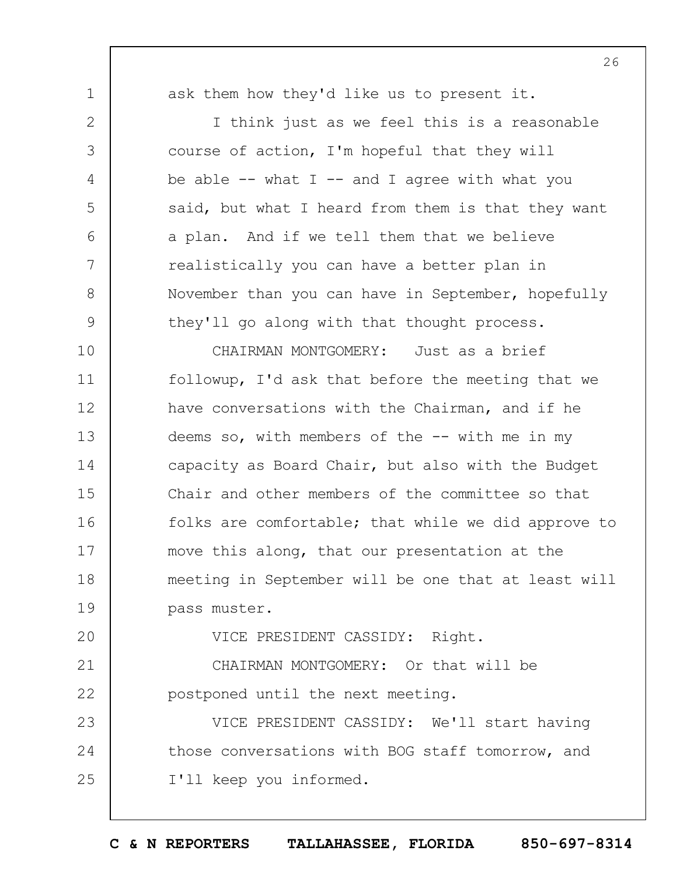1

2

3

4

5

6

7

8

9

ask them how they'd like us to present it.

I think just as we feel this is a reasonable course of action, I'm hopeful that they will be able  $--$  what I  $--$  and I agree with what you said, but what I heard from them is that they want a plan. And if we tell them that we believe realistically you can have a better plan in November than you can have in September, hopefully they'll go along with that thought process.

10 11 12 13 14 15 16 17 18 19 CHAIRMAN MONTGOMERY: Just as a brief followup, I'd ask that before the meeting that we have conversations with the Chairman, and if he deems so, with members of the  $--$  with me in my capacity as Board Chair, but also with the Budget Chair and other members of the committee so that folks are comfortable; that while we did approve to move this along, that our presentation at the meeting in September will be one that at least will pass muster.

 $20$ VICE PRESIDENT CASSIDY: Right.

21 22 CHAIRMAN MONTGOMERY: Or that will be postponed until the next meeting.

23 24 25 VICE PRESIDENT CASSIDY: We'll start having those conversations with BOG staff tomorrow, and I'll keep you informed.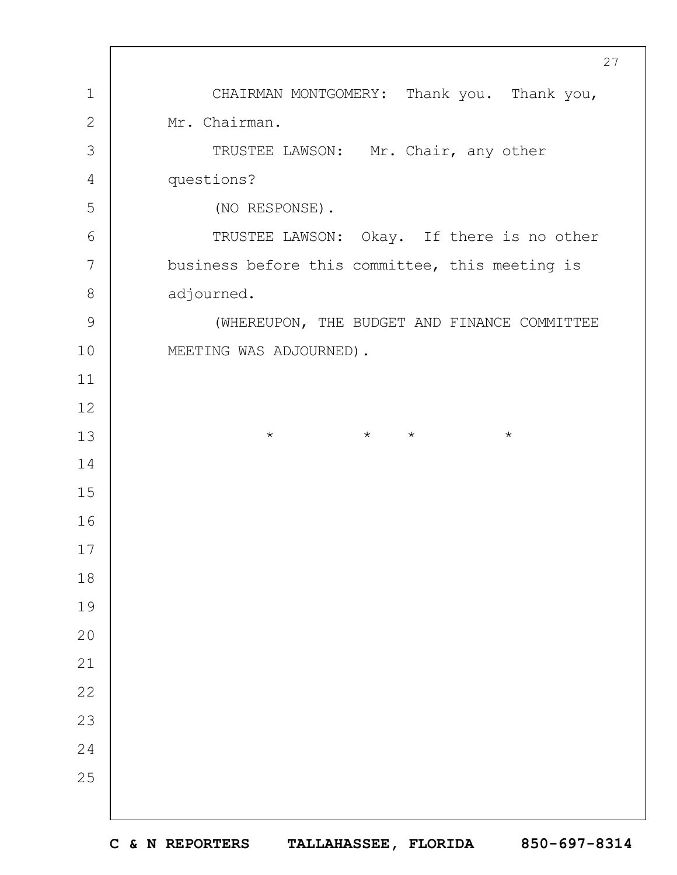CHAIRMAN MONTGOMERY: Thank you. Thank you, Mr. Chairman. TRUSTEE LAWSON: Mr. Chair, any other questions? (NO RESPONSE). TRUSTEE LAWSON: Okay. If there is no other business before this committee, this meeting is adjourned. (WHEREUPON, THE BUDGET AND FINANCE COMMITTEE MEETING WAS ADJOURNED). \* \* \* \*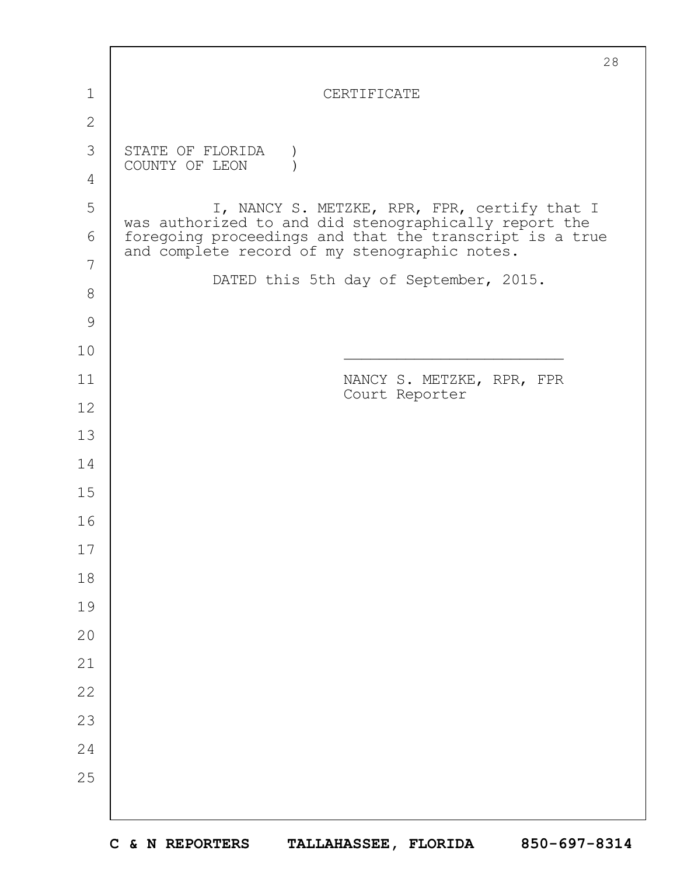|               | 28                                                                                                       |
|---------------|----------------------------------------------------------------------------------------------------------|
| 1             | CERTIFICATE                                                                                              |
| $\mathbf{2}$  |                                                                                                          |
| 3             | STATE OF FLORIDA<br>COUNTY OF LEON                                                                       |
| 4             |                                                                                                          |
| 5             | I, NANCY S. METZKE, RPR, FPR, certify that I<br>was authorized to and did stenographically report the    |
| 6             | foregoing proceedings and that the transcript is a true<br>and complete record of my stenographic notes. |
| 7             | DATED this 5th day of September, 2015.                                                                   |
| 8             |                                                                                                          |
| $\mathcal{G}$ |                                                                                                          |
| 10            |                                                                                                          |
| 11            | NANCY S. METZKE, RPR, FPR<br>Court Reporter                                                              |
| 12            |                                                                                                          |
| 13            |                                                                                                          |
| 14            |                                                                                                          |
| 15            |                                                                                                          |
| 16            |                                                                                                          |
| 17            |                                                                                                          |
| 18            |                                                                                                          |
| 19            |                                                                                                          |
| 20            |                                                                                                          |
| 21            |                                                                                                          |
| 22            |                                                                                                          |
| 23            |                                                                                                          |
| 24            |                                                                                                          |
| 25            |                                                                                                          |
|               |                                                                                                          |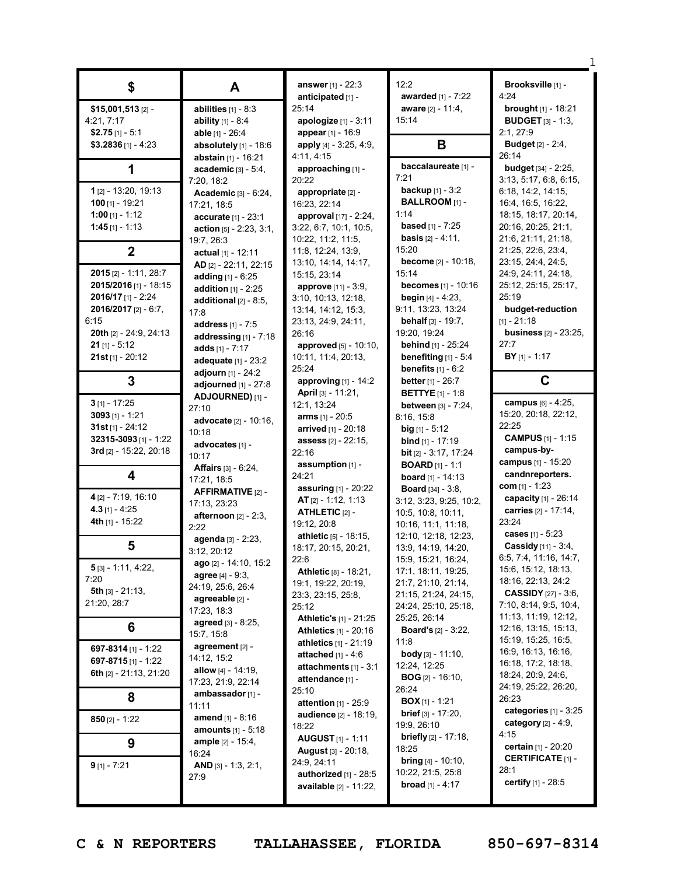| \$                                 | A                             | answer [1] - 22:3             | 12:2                           | Brooksville [1] -                         |
|------------------------------------|-------------------------------|-------------------------------|--------------------------------|-------------------------------------------|
|                                    |                               | anticipated [1] -             | awarded [1] - 7:22             | 4:24                                      |
| \$15,001,513 [2] -                 | abilities $[1] - 8:3$         | 25:14                         | aware [2] - 11:4,              | <b>brought</b> [1] - 18:21                |
| 4:21, 7:17                         | ability [1] - 8:4             | apologize [1] - 3:11          | 15:14                          | <b>BUDGET</b> [3] - 1:3,                  |
| \$2.75 $[1] - 5:1$                 | able [1] - 26:4               | appear [1] - 16:9             |                                | 2:1, 27:9                                 |
| $$3.2836$ [1] - 4:23               | absolutely [1] - 18:6         | apply [4] - 3:25, 4:9,        | B                              | <b>Budget</b> [2] - 2:4,                  |
|                                    | abstain [1] - 16:21           | 26:14<br>4:11, 4:15           |                                |                                           |
| 1                                  | academic $[3] - 5:4$ ,        | approaching [1] -             | baccalaureate [1] -            | budget [34] - 2:25,                       |
|                                    | 7:20, 18:2                    | 20:22                         | 7:21                           | 3:13, 5:17, 6:8, 6:15,                    |
| 1 [2] - 13:20, 19:13               | Academic [3] - 6:24,          | appropriate [2] -             | <b>backup</b> $[1] - 3:2$      | 6:18, 14:2, 14:15,                        |
| 100 $[1] - 19:21$                  | 17:21, 18:5                   | 16:23, 22:14                  | BALLROOM [1] -                 | 16:4, 16:5, 16:22,                        |
| 1:00 [1] - 1:12                    | accurate [1] - 23:1           | approval [17] - 2:24,         | 1:14                           | 18:15, 18:17, 20:14,                      |
| 1:45 $[1] - 1:13$                  | action $[5] - 2:23, 3:1,$     | 3:22, 6:7, 10:1, 10:5,        | <b>based</b> $[1] - 7:25$      | 20:16, 20:25, 21:1,                       |
|                                    | 19:7, 26:3                    | 10:22, 11:2, 11:5,            | <b>basis</b> $[2] - 4:11$ ,    | 21:6, 21:11, 21:18,                       |
| $\boldsymbol{2}$                   | actual $[1] - 12:11$          | 11:8, 12:24, 13:9,            | 15:20                          | 21:25, 22:6, 23:4,                        |
|                                    | AD [2] - 22:11, 22:15         | 13:10, 14:14, 14:17,          | <b>become</b> $[2] - 10:18$ ,  | 23:15, 24:4, 24:5,                        |
| 2015 [2] - 1:11, 28:7              | adding $[1] - 6:25$           | 15:15, 23:14                  | 15:14                          | 24:9, 24:11, 24:18,                       |
| 2015/2016 [1] - 18:15              | <b>addition</b> $[1] - 2:25$  | <b>approve</b> [11] - 3:9,    | becomes [1] - 10:16            | 25:12, 25:15, 25:17,                      |
| $2016/17$ [1] - 2:24               | additional $[2] - 8:5$ ,      | 3:10, 10:13, 12:18,           | <b>begin</b> $[4] - 4:23$ ,    | 25:19                                     |
| 2016/2017 [2] - 6:7,               | 17:8                          | 13:14, 14:12, 15:3,           | 9:11, 13:23, 13:24             | budget-reduction                          |
| 6:15                               | address [1] - 7:5             | 23:13, 24:9, 24:11,           | <b>behalf</b> $[3] - 19:7$ ,   | $[1] - 21:18$                             |
| 20th [2] - 24:9, 24:13             | addressing $[1]$ - 7:18       | 26:16                         | 19:20, 19:24                   | <b>business</b> [2] - 23:25,              |
| $21$ [1] - 5:12                    | adds $[1] - 7:17$             | approved [5] - 10:10,         | behind [1] - 25:24             | 27:7                                      |
| $21st$ [1] - 20:12                 | adequate [1] - 23:2           | 10:11, 11:4, 20:13,           | benefiting $[1] - 5:4$         | $BY$ [1] - 1:17                           |
|                                    | adjourn [1] - 24:2            | 25:24                         | <b>benefits</b> $[1] - 6:2$    |                                           |
| 3                                  | adjourned $[1]$ - $27:8$      | approving $[1]$ - 14:2        | <b>better</b> $[1] - 26:7$     | C                                         |
|                                    | ADJOURNED) [1] -              | April [3] - 11:21,            | <b>BETTYE</b> $[1] - 1:8$      |                                           |
| $3$ [1] - 17:25                    | 27:10                         | 12:1, 13:24                   | between [3] - 7:24,            | campus [6] - 4:25,                        |
| $3093$ [1] - 1:21                  | advocate [2] - 10:16,         | <b>arms</b> $[1] - 20:5$      | 8:16, 15:8                     | 15:20, 20:18, 22:12,                      |
| 31st [1] - 24:12                   | 10:18                         | <b>arrived</b> $[1]$ - 20:18  | $big$ [1] - 5:12               | 22:25                                     |
| 32315-3093 [1] - 1:22              | advocates [1] -               | <b>assess</b> $[2] - 22:15$   | <b>bind</b> $[1]$ - 17:19      | <b>CAMPUS</b> [1] - 1:15                  |
| 3rd [2] - 15:22, 20:18             | 10:17                         | 22:16                         | <b>bit</b> $[2] - 3:17, 17:24$ | campus-by-                                |
|                                    | <b>Affairs</b> $[3] - 6:24$ , | assumption $[1]$ -            | <b>BOARD</b> $[1] - 1:1$       | campus [1] - 15:20                        |
| 4                                  | 17:21, 18:5                   | 24:21                         | <b>board</b> $[1] - 14:13$     | candnreporters.                           |
|                                    | AFFIRMATIVE [2] -             | <b>assuring</b> $[1] - 20:22$ | <b>Board</b> [34] - $3:8$ ,    | com $[1] - 1:23$                          |
| 4 [2] - 7:19, 16:10                | 17:13, 23:23                  | <b>AT</b> $[2] - 1:12, 1:13$  | 3:12, 3:23, 9:25, 10:2,        | capacity [1] - 26:14                      |
| $4.3$ [1] - 4:25                   | afternoon [2] - 2:3,          | <b>ATHLETIC [2] -</b>         | 10:5, 10:8, 10:11,             | carries [2] - 17:14,                      |
| 4th [1] - 15:22                    | 2:22                          | 19:12, 20:8                   | 10:16, 11:1, 11:18,            | 23:24                                     |
|                                    | agenda [3] - 2:23,            | athletic [5] - 18:15,         | 12:10, 12:18, 12:23,           | cases [1] - 5:23                          |
| 5                                  | 3:12, 20:12                   | 18:17, 20:15, 20:21,          | 13:9. 14:19. 14:20.            | Cassidy [11] - 3:4,                       |
|                                    | <b>ago</b> [2] - 14:10, 15:2  | 22:6                          | 15:9, 15:21, 16:24,            | 6:5, 7:4, 11:16, 14:7,                    |
| $5$ [3] - 1:11, 4:22,              | agree [4] - 9:3,              | <b>Athletic [8] - 18:21,</b>  | 17:1, 18:11, 19:25,            | 15:6, 15:12, 18:13,                       |
| 7:20                               | 24:19, 25:6, 26:4             | 19:1, 19:22, 20:19,           | 21:7, 21:10, 21:14,            | 18:16, 22:13, 24:2                        |
| 5th $[3] - 21:13$ ,<br>21:20, 28:7 | agreeable [2] -               | 23:3, 23:15, 25:8,            | 21:15, 21:24, 24:15,           | <b>CASSIDY</b> $[27] - 3:6$ ,             |
|                                    | 17:23, 18:3                   | 25:12                         | 24:24, 25:10, 25:18,           | 7:10, 8:14, 9:5, 10:4,                    |
| 6                                  | <b>agreed</b> [3] - 8:25,     | <b>Athletic's [1] - 21:25</b> | 25:25, 26:14                   | 11:13, 11:19, 12:12,                      |
|                                    | 15:7, 15:8                    | <b>Athletics</b> [1] - 20:16  | <b>Board's</b> $[2] - 3:22$ ,  | 12:16, 13:15, 15:13,                      |
| 697-8314 [1] - 1:22                | agreement [2] -               | athletics $[1] - 21:19$       | 11:8                           | 15:19, 15:25, 16:5,                       |
| 697-8715 [1] - 1:22                | 14:12, 15:2                   | attached $[1] - 4:6$          | <b>body</b> $[3] - 11:10$ ,    | 16:9, 16:13, 16:16,                       |
| 6th $[2] - 21:13$ , 21:20          | <b>allow</b> [4] - 14:19,     | attachments $[1] - 3:1$       | 12:24, 12:25                   | 16:18, 17:2, 18:18,<br>18:24, 20:9, 24:6, |
|                                    | 17:23, 21:9, 22:14            | attendance [1] -              | <b>BOG</b> $[2] - 16:10$       | 24:19, 25:22, 26:20,                      |
| 8                                  | ambassador [1] -              | 25:10                         | 26:24                          | 26:23                                     |
|                                    | 11:11                         | <b>attention</b> $[1] - 25:9$ | <b>BOX</b> $[1]$ - 1:21        | categories $[1] - 3:25$                   |
| 850 $[2] - 1:22$                   | amend [1] - 8:16              | <b>audience</b> [2] - 18:19,  | <b>brief</b> $[3] - 17:20$ ,   |                                           |
|                                    | <b>amounts</b> [1] - 5:18     | 18:22                         | 19:9, 26:10                    | <b>category</b> $[2] - 4:9$ ,<br>4:15     |
| 9                                  | <b>ample</b> [2] - 15:4,      | <b>AUGUST</b> $[1]$ - 1:11    | <b>briefly</b> $[2] - 17:18$ , | <b>certain</b> $[1]$ - 20:20              |
|                                    | 16:24                         | <b>August</b> [3] - 20:18,    | 18:25                          | <b>CERTIFICATE</b> [1] -                  |
| $9$ [1] - 7:21                     | <b>AND</b> [3] - 1:3, 2:1,    | 24:9, 24:11                   | <b>bring</b> $[4] - 10:10$ ,   | 28:1                                      |
|                                    | 27:9                          | <b>authorized</b> [1] - 28:5  | 10:22, 21:5, 25:8              | <b>certify</b> $[1] - 28:5$               |
|                                    |                               | <b>available</b> [2] - 11:22, | <b>broad</b> [1] - 4:17        |                                           |
|                                    |                               |                               |                                |                                           |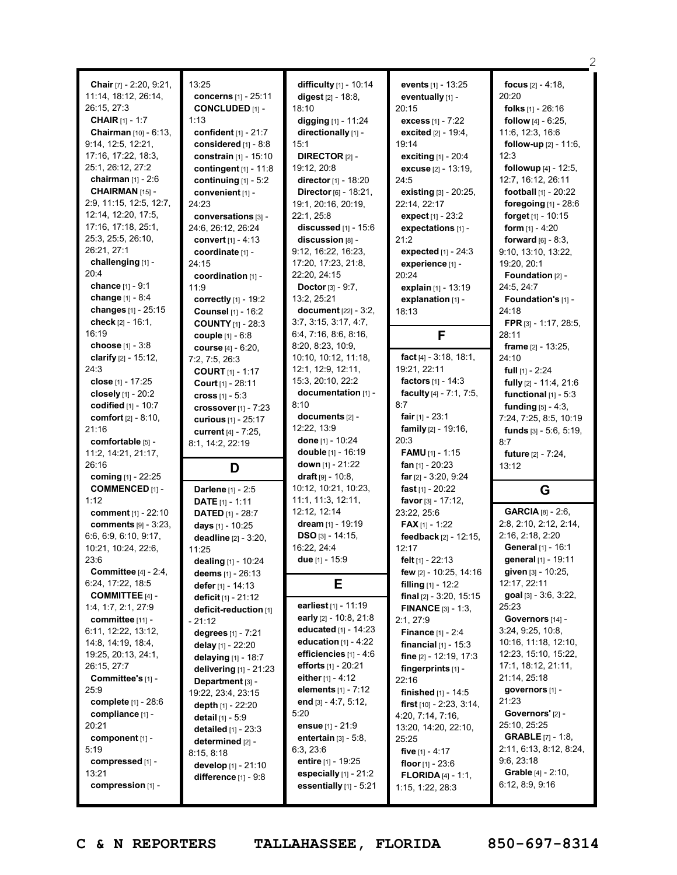|                                 |                                 |                                                     |                                                  | 2                                               |
|---------------------------------|---------------------------------|-----------------------------------------------------|--------------------------------------------------|-------------------------------------------------|
| Chair [7] - 2:20, 9:21,         | 13:25                           | difficulty [1] - 10:14                              | events [1] - 13:25                               | focus $[2] - 4:18$ ,                            |
| 11:14, 18:12, 26:14,            | concerns [1] - 25:11            | digest $[2] - 18.8$ ,                               | eventually [1] -                                 | 20:20                                           |
| 26:15, 27:3                     | <b>CONCLUDED [1] -</b>          | 18:10                                               | 20:15                                            | folks [1] - 26:16                               |
| <b>CHAIR</b> [1] - 1:7          | 1:13                            | digging [1] - 11:24                                 | excess [1] - 7:22                                | <b>follow</b> $[4] - 6:25$ ,                    |
| <b>Chairman</b> $[10] - 6:13$ , | confident [1] - 21:7            | directionally [1] -                                 | excited [2] - 19:4,                              | 11:6, 12:3, 16:6                                |
| 9:14, 12:5, 12:21,              | considered [1] - 8:8            | 15:1                                                | 19:14                                            | <b>follow-up</b> $[2] - 11:6$ ,                 |
| $17:16$ , $17:22$ , $18:3$ ,    | constrain [1] - 15:10           | <b>DIRECTOR</b> $[2]$ -                             | exciting [1] - 20:4                              | 12:3                                            |
| 25:1, 26:12, 27:2               | contingent $[1] - 11:8$         | 19:12, 20:8                                         | excuse [2] - 13:19,                              | followup [4] - 12:5,                            |
| chairman $[1] - 2:6$            | continuing $[1] - 5:2$          | director [1] - 18:20                                | 24:5                                             | 12:7, 16:12, 26:11                              |
| CHAIRMAN [15] -                 | convenient [1] -                | Director [6] - 18:21,                               | existing [3] - 20:25,                            | football [1] - 20:22                            |
| 2:9, 11:15, 12:5, 12:7,         | 24:23                           | 19:1, 20:16, 20:19,                                 | 22:14, 22:17                                     | foregoing [1] - 28:6                            |
| 12:14, 12:20, 17:5,             | conversations [3] -             | 22:1, 25:8                                          | expect [1] - 23:2                                | forget $[1] - 10:15$                            |
| 17:16, 17:18, 25:1,             | 24:6, 26:12, 26:24              | discussed [1] - 15:6                                | expectations [1] -                               | form $[1] - 4:20$                               |
| 25:3, 25:5, 26:10,              | convert $[1] - 4:13$            | discussion [8] -                                    | 21:2                                             | <b>forward</b> $[6] - 8:3$ ,                    |
| 26:21, 27:1                     | coordinate [1] -                | 9:12, 16:22, 16:23,                                 | expected $[1] - 24:3$                            | 9:10, 13:10, 13:22,                             |
| challenging [1] -               | 24:15                           | 17:20, 17:23, 21:8,                                 | experience [1] -                                 | 19:20, 20:1                                     |
| 20:4                            | coordination [1] -              | 22:20, 24:15                                        | 20:24                                            | Foundation [2] -                                |
| chance [1] - 9:1                | 11:9                            | <b>Doctor</b> $[3] - 9:7$ ,                         | explain [1] - 13:19                              | 24:5, 24:7                                      |
| change [1] - 8:4                | correctly [1] - 19:2            | 13:2, 25:21                                         | explanation [1] -                                | Foundation's [1] -                              |
| changes $[1] - 25:15$           | Counsel [1] - 16:2              | document $[22] - 3:2$ ,                             | 18:13                                            | 24:18                                           |
| check $[2] - 16:1$ ,            | <b>COUNTY</b> [1] - 28:3        | 3:7, 3:15, 3:17, 4:7,                               |                                                  | FPR [3] - 1:17, 28:5,                           |
| 16:19                           | couple [1] - 6:8                | 6:4, 7:16, 8:6, 8:16,                               | F                                                | 28:11                                           |
| choose $[1] - 3.8$              | course [4] - 6:20,              | 8:20, 8:23, 10:9,                                   |                                                  | frame $[2] - 13:25$ ,                           |
| clarify $[2] - 15:12$ ,         | 7:2, 7:5, 26:3                  | 10:10, 10:12, 11:18,                                | fact [4] - 3:18, 18:1,                           | 24:10                                           |
| 24:3                            | <b>COURT</b> $[1] - 1:17$       | 12:1, 12:9, 12:11,                                  | 19:21, 22:11                                     | full $[1]$ - 2:24                               |
| close $[1] - 17:25$             | Court [1] - 28:11               | 15:3, 20:10, 22:2                                   | factors [1] - 14:3                               | fully [2] - 11:4, 21:6                          |
| closely $[1]$ - 20:2            | cross $[1] - 5:3$               | documentation [1] -                                 | faculty [4] - 7:1, 7:5,                          | functional $[1] - 5:3$                          |
| codified [1] - 10:7             | crossover $[1]$ - $7:23$        | 8:10                                                | 8:7                                              | <b>funding</b> $[5] - 4:3$ ,                    |
| comfort [2] - 8:10,             | curious [1] - 25:17             | documents $[2]$ -                                   | fair $[1] - 23:1$                                | 7:24, 7:25, 8:5, 10:19                          |
| 21:16                           | current [4] - 7:25,             | 12:22, 13:9                                         | family [2] - 19:16,                              | funds $[3] - 5.6, 5.19,$                        |
|                                 |                                 |                                                     |                                                  |                                                 |
| comfortable [5] -               |                                 | done [1] - 10:24                                    | 20:3                                             | 8:7                                             |
| 11:2, 14:21, 21:17,             | 8:1, 14:2, 22:19                | double [1] - 16:19                                  | <b>FAMU</b> $[1] - 1:15$                         | future [2] - 7:24,                              |
| 26:16                           | D                               | down [1] - 21:22                                    | fan [1] - 20:23                                  | 13:12                                           |
| coming [1] - 22:25              |                                 | draft $[9] - 10:8$ ,                                | far $[2] - 3:20, 9:24$                           |                                                 |
| <b>COMMENCED [1] -</b>          | Darlene [1] - 2:5               | 10:12, 10:21, 10:23,                                | fast $[1] - 20:22$                               | G                                               |
| 1:12                            | <b>DATE</b> $[1] - 1:11$        | 11:1, 11:3, 12:11,                                  | favor $[3] - 17:12$ ,                            |                                                 |
| comment [1] - 22:10             | <b>DATED</b> $[1]$ - 28:7       | 12:12, 12:14                                        | 23:22, 25:6                                      | GARCIA <sup>[8]</sup> - 2:6,                    |
| comments [9] - 3:23,            | days [1] - 10:25                | dream [1] - 19:19                                   | <b>FAX</b> [1] - 1:22                            | 2:8, 2:10, 2:12, 2:14,                          |
| 6:6, 6:9, 6:10, 9:17,           | <b>deadline</b> [2] - 3:20,     | $DSO$ [3] - 14:15,                                  | feedback [2] - 12:15,                            | 2:16, 2:18, 2:20                                |
| 10:21, 10:24, 22:6,             | 11:25                           | 16:22, 24:4                                         | 12:17                                            | General [1] - 16:1                              |
| 23:6                            | dealing [1] - 10:24             | due $[1] - 15:9$                                    | felt [1] - 22:13                                 | general [1] - 19:11                             |
| Committee $[4] - 2:4$ ,         | deems $[1] - 26:13$             |                                                     | few [2] - 10:25, 14:16                           | given [3] - 10:25,                              |
| 6:24, 17:22, 18:5               | defer $[1]$ - 14:13             | Е                                                   | filling $[1]$ - 12:2                             | 12:17, 22:11                                    |
| <b>COMMITTEE</b> $[4]$ -        | deficit [1] - 21:12             |                                                     | <b>final</b> $[2] - 3:20, 15:15$                 | goal [3] - 3:6, 3:22,                           |
| 1:4, 1:7, 2:1, 27:9             | deficit-reduction [1]           | earliest $[1] - 11:19$                              | <b>FINANCE</b> $[3] - 1:3$                       | 25:23                                           |
| committee [11] -                | 21:12                           | early [2] - 10:8, 21:8                              | 2:1, 27:9                                        | Governors [14] -                                |
| 6:11, 12:22, 13:12,             | degrees [1] - 7:21              | educated [1] - 14:23                                | <b>Finance</b> $[1] - 2:4$                       | 3:24, 9:25, 10:8,                               |
| 14:8, 14:19, 18:4,              | delay [1] - 22:20               | education $[1] - 4:22$                              | <b>financial</b> $[1] - 15:3$                    | 10:16, 11:18, 12:10,                            |
| 19:25, 20:13, 24:1,             | delaying [1] - 18:7             | efficiencies $[1] - 4:6$                            | fine [2] - 12:19, 17:3                           | 12:23, 15:10, 15:22,                            |
| 26:15, 27:7                     | <b>delivering</b> $[1]$ - 21:23 | efforts [1] - 20:21                                 | fingerprints $[1]$ -                             | 17:1, 18:12, 21:11,                             |
| Committee's [1] -               | Department [3] -                | either $[1] - 4:12$                                 | 22:16                                            | 21:14, 25:18                                    |
| 25:9                            | 19:22, 23:4, 23:15              | elements [1] - 7:12                                 | finished $[1] - 14:5$                            | governors [1] -                                 |
| complete $[1] - 28.6$           | depth $[1]$ - 22:20             | end $[3] - 4:7, 5:12,$                              | first $[10] - 2:23$ , $3:14$ ,                   | 21:23                                           |
| compliance [1] -                | detail [1] - 5:9                | 5:20                                                | 4:20, 7:14, 7:16,                                | Governors' [2] -                                |
| 20:21                           | <b>detailed</b> $[1] - 23:3$    | ensue $[1] - 21:9$                                  | 13:20, 14:20, 22:10,                             | 25:10, 25:25                                    |
| component $[1]$ -               | determined [2] -                | entertain $[3] - 5.8$ ,                             | 25:25                                            | <b>GRABLE</b> [7] - 1:8,                        |
| 5:19                            | 8:15, 8:18                      | 6:3,23:6                                            | five [1] - 4:17                                  | 2:11, 6:13, 8:12, 8:24,                         |
| compressed [1] -                | develop [1] - 21:10             | entire [1] - 19:25                                  | floor $[1]$ - 23:6                               | 9:6, 23:18                                      |
| 13:21<br>compression [1] -      | difference $[1] - 9.8$          | especially $[1]$ - 21:2<br>essentially $[1]$ - 5:21 | <b>FLORIDA</b> $[4] - 1:1$ ,<br>1:15, 1:22, 28:3 | <b>Grable</b> $[4] - 2:10$ ,<br>6:12, 8:9, 9:16 |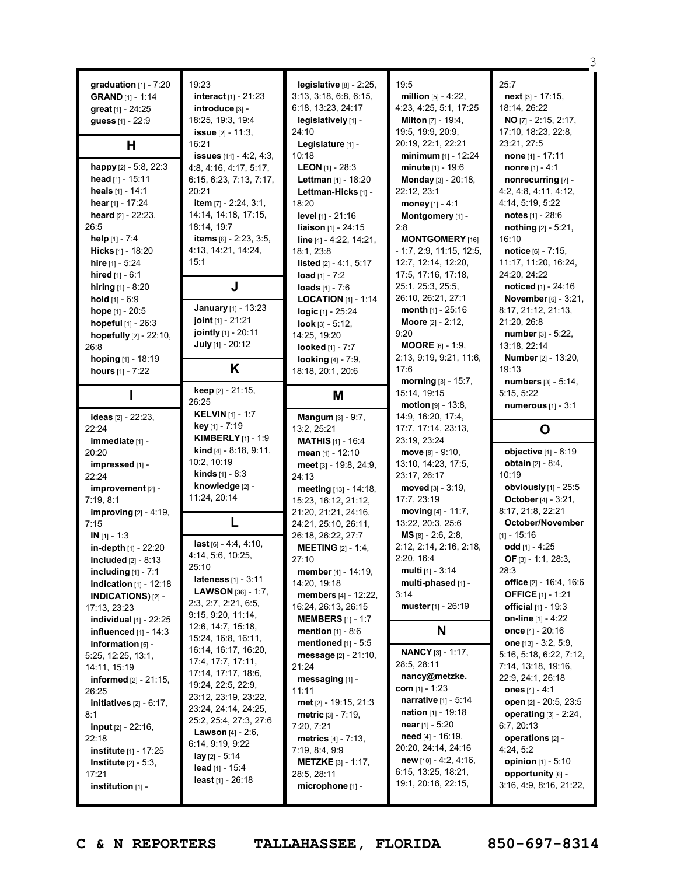| graduation $[1]$ - $7:20$<br><b>GRAND</b> [1] - 1:14<br>great [1] - 24:25<br>guess [1] - 22:9<br>H<br>happy [2] - 5:8, 22:3<br>head $\left[1\right]$ - 15:11<br>heals [1] - 14:1<br>hear $[1] - 17:24$<br>heard $[2] - 22:23$ ,<br>26:5<br>help $[1] - 7:4$<br>Hicks [1] - 18:20<br>hire $[1] - 5:24$<br>hired $[1] - 6:1$<br>hiring $[1] - 8:20$<br>hold $[1] - 6:9$<br>hope $[1] - 20:5$<br>hopeful [1] - 26:3<br>hopefully [2] - 22:10,<br>26:8<br>hoping [1] - 18:19<br>hours [1] - 7:22 | 19:23<br><b>interact</b> $[1] - 21:23$<br>introduce [3] -<br>18:25, 19:3, 19:4<br><b>issue</b> $[2] - 11:3$ ,<br>16:21<br><b>issues</b> $[11] - 4:2, 4:3,$<br>4:8, 4:16, 4:17, 5:17,<br>6:15, 6:23, 7:13, 7:17,<br>20:21<br>item [7] - 2:24, 3:1,<br>14:14, 14:18, 17:15,<br>18:14, 19:7<br><b>items</b> $[6] - 2:23, 3:5,$<br>4:13, 14:21, 14:24,<br>15:1<br>J<br>January [1] - 13:23<br><b>joint</b> $[1]$ - 21:21<br>jointly [1] - 20:11<br>July [1] - 20:12<br>Κ | legislative [8] - 2:25,<br>3:13, 3:18, 6:8, 6:15,<br>6:18, 13:23, 24:17<br>legislatively [1] -<br>24:10<br>Legislature [1] -<br>10:18<br><b>LEON</b> $[1]$ - 28:3<br>Lettman [1] - 18:20<br>Lettman-Hicks [1] -<br>18:20<br>level $[1] - 21:16$<br>liaison [1] - 24:15<br>line [4] - 4:22, 14:21,<br>18:1, 23:8<br>listed [2] - 4:1, 5:17<br>load $[1] - 7:2$<br><b>loads</b> $[1] - 7:6$<br><b>LOCATION</b> $[1]$ - 1:14<br>logic [1] - 25:24<br>look $[3] - 5:12$ ,<br>14:25, 19:20<br>looked [1] - 7:7<br><b>looking</b> [4] - 7:9,<br>18:18, 20:1, 20:6 | 19:5<br>million [5] - 4:22,<br>4:23, 4:25, 5:1, 17:25<br><b>Milton</b> [7] - 19:4,<br>19:5, 19:9, 20:9,<br>20:19, 22:1, 22:21<br>minimum [1] - 12:24<br>minute [1] - 19:6<br>Monday [3] - 20:18,<br>22:12, 23:1<br>money $[1] - 4:1$<br>Montgomery [1] -<br>2:8<br><b>MONTGOMERY</b> [16]<br>$-1:7, 2:9, 11:15, 12:5,$<br>12:7, 12:14, 12:20,<br>17:5, 17:16, 17:18,<br>25:1, 25:3, 25:5,<br>26:10, 26:21, 27:1<br><b>month</b> $[1] - 25:16$<br>Moore [2] - 2:12,<br>9:20<br><b>MOORE</b> $[6] - 1:9$ ,<br>2:13, 9:19, 9:21, 11:6,<br>17:6 | 25:7<br>$next_{[3]} - 17:15$ ,<br>18:14, 26:22<br>NO [7] - 2:15, 2:17,<br>17:10, 18:23, 22:8,<br>23:21, 27:5<br>none $[1] - 17:11$<br><b>nonre</b> $[1] - 4:1$<br>nonrecurring [7] -<br>4:2, 4:8, 4:11, 4:12,<br>4:14, 5:19, 5:22<br>notes [1] - 28:6<br>nothing $[2] - 5:21$ ,<br>16:10<br>notice [6] - 7:15,<br>11:17, 11:20, 16:24,<br>24:20, 24:22<br>noticed [1] - 24:16<br>November [6] - 3:21,<br>8:17, 21:12, 21:13,<br>21:20, 26:8<br>number [3] - 5:22,<br>13:18, 22:14<br><b>Number</b> [2] - 13:20,<br>19:13 |
|----------------------------------------------------------------------------------------------------------------------------------------------------------------------------------------------------------------------------------------------------------------------------------------------------------------------------------------------------------------------------------------------------------------------------------------------------------------------------------------------|----------------------------------------------------------------------------------------------------------------------------------------------------------------------------------------------------------------------------------------------------------------------------------------------------------------------------------------------------------------------------------------------------------------------------------------------------------------------|-------------------------------------------------------------------------------------------------------------------------------------------------------------------------------------------------------------------------------------------------------------------------------------------------------------------------------------------------------------------------------------------------------------------------------------------------------------------------------------------------------------------------------------------------------------|---------------------------------------------------------------------------------------------------------------------------------------------------------------------------------------------------------------------------------------------------------------------------------------------------------------------------------------------------------------------------------------------------------------------------------------------------------------------------------------------------------------------------------------------|--------------------------------------------------------------------------------------------------------------------------------------------------------------------------------------------------------------------------------------------------------------------------------------------------------------------------------------------------------------------------------------------------------------------------------------------------------------------------------------------------------------------------|
|                                                                                                                                                                                                                                                                                                                                                                                                                                                                                              | keep [2] - 21:15,<br>26:25                                                                                                                                                                                                                                                                                                                                                                                                                                           | M                                                                                                                                                                                                                                                                                                                                                                                                                                                                                                                                                           | morning [3] - 15:7,<br>15:14, 19:15                                                                                                                                                                                                                                                                                                                                                                                                                                                                                                         | numbers [3] - 5:14,<br>5:15, 5:22                                                                                                                                                                                                                                                                                                                                                                                                                                                                                        |
| ideas [2] - 22:23,<br>22:24                                                                                                                                                                                                                                                                                                                                                                                                                                                                  | <b>KELVIN</b> [1] - 1:7<br>key [1] - 7:19<br><b>KIMBERLY</b> $[1] - 1:9$                                                                                                                                                                                                                                                                                                                                                                                             | Mangum [3] - 9:7,<br>13:2, 25:21                                                                                                                                                                                                                                                                                                                                                                                                                                                                                                                            | <b>motion</b> $[9] - 13:8$<br>14:9, 16:20, 17:4,<br>17:7, 17:14, 23:13,                                                                                                                                                                                                                                                                                                                                                                                                                                                                     | numerous [1] - 3:1<br>O                                                                                                                                                                                                                                                                                                                                                                                                                                                                                                  |
| immediate [1] -<br>20:20<br>impressed [1] -<br>22:24                                                                                                                                                                                                                                                                                                                                                                                                                                         | <b>kind</b> $[4] - 8:18, 9:11,$<br>10:2, 10:19<br><b>kinds</b> $[1] - 8:3$                                                                                                                                                                                                                                                                                                                                                                                           | <b>MATHIS</b> $[1] - 16:4$<br>mean $[1] - 12:10$<br>meet [3] - 19:8, 24:9,                                                                                                                                                                                                                                                                                                                                                                                                                                                                                  | 23:19, 23:24<br>move $[6] - 9:10$ ,<br>13:10, 14:23, 17:5,                                                                                                                                                                                                                                                                                                                                                                                                                                                                                  | objective [1] - 8:19                                                                                                                                                                                                                                                                                                                                                                                                                                                                                                     |
| improvement [2] -<br>7:19, 8:1<br><b>improving</b> [2] - 4:19,                                                                                                                                                                                                                                                                                                                                                                                                                               | knowledge [2] -<br>11:24, 20:14                                                                                                                                                                                                                                                                                                                                                                                                                                      | 24:13<br>meeting [13] - 14:18,<br>15:23, 16:12, 21:12,<br>21:20, 21:21, 24:16,                                                                                                                                                                                                                                                                                                                                                                                                                                                                              | 23:17, 26:17<br>moved $[3] - 3:19$ ,<br>17:7, 23:19<br>moving [4] - 11:7,                                                                                                                                                                                                                                                                                                                                                                                                                                                                   | <b>obtain</b> $[2] - 8:4$ ,<br>10:19<br>obviously [1] - 25:5<br>October [4] - 3:21,<br>8:17, 21:8, 22:21                                                                                                                                                                                                                                                                                                                                                                                                                 |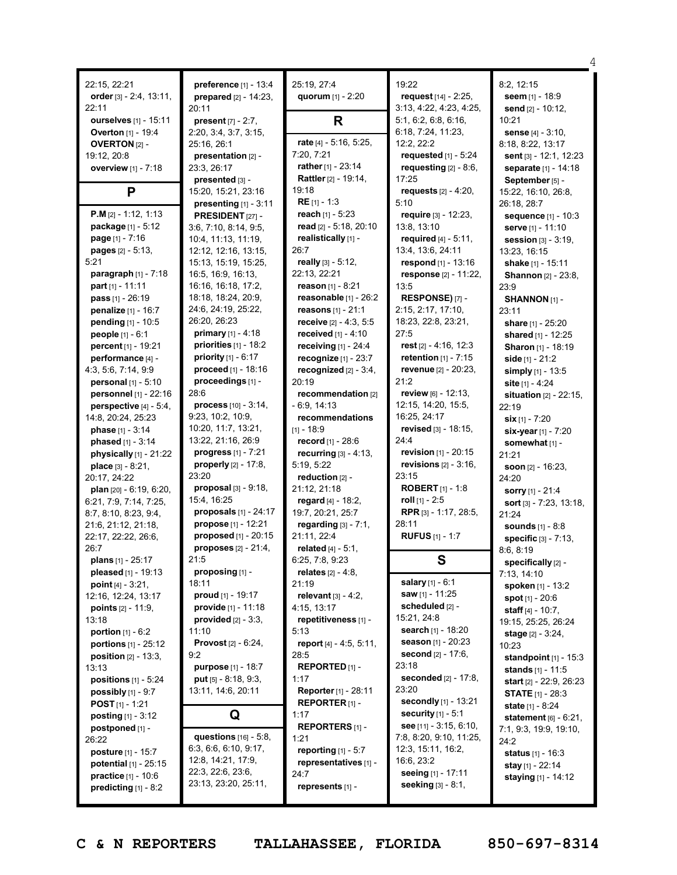|                                |                                                |                                        |                                           | 4                                           |
|--------------------------------|------------------------------------------------|----------------------------------------|-------------------------------------------|---------------------------------------------|
| 22:15, 22:21                   | preference [1] - 13:4                          | 25:19, 27:4                            | 19:22                                     | 8:2, 12:15                                  |
| order $[3] - 2:4, 13:11,$      | prepared $[2] - 14:23$ ,                       | quorum [1] - 2:20                      | request [14] - 2:25,                      | seem [1] - 18:9                             |
| 22:11                          | 20:11                                          |                                        | 3:13, 4:22, 4:23, 4:25,                   | send [2] - 10:12,                           |
| ourselves [1] - 15:11          | <b>present</b> $[7] - 2:7$ ,                   | R                                      | 5:1, 6:2, 6:8, 6:16,                      | 10:21                                       |
| Overton [1] - 19:4             | 2:20, 3:4, 3:7, 3:15,                          |                                        | 6:18, 7:24, 11:23,                        | sense [4] - 3:10,                           |
| <b>OVERTON [2] -</b>           | 25:16, 26:1                                    | rate [4] - 5:16, 5:25,                 | 12:2, 22:2                                | 8:18, 8:22, 13:17                           |
| 19:12, 20:8                    | presentation [2] -                             | 7:20, 7:21                             | requested $[1]$ - 5:24                    | sent [3] - 12:1, 12:23                      |
| overview [1] - 7:18            | 23:3, 26:17                                    | rather [1] - 23:14                     | requesting $[2] - 8:6$ ,                  | separate [1] - 14:18                        |
|                                | presented [3] -                                | Rattler [2] - 19:14,                   | 17:25                                     | September [5] -                             |
| P                              | 15:20, 15:21, 23:16                            | 19:18                                  | requests $[2] - 4:20$ ,                   | 15:22, 16:10, 26:8,                         |
|                                | presenting $[1] - 3:11$                        | RE [1] - 1:3                           | 5:10                                      | 26:18, 28:7                                 |
| $P.M [2] - 1:12, 1:13$         | PRESIDENT [27] -                               | reach [1] - 5:23                       | require [3] - 12:23,                      | sequence [1] - 10:3                         |
| package [1] - 5:12             | 3:6, 7:10, 8:14, 9:5,                          | read [2] - 5:18, 20:10                 | 13:8, 13:10                               | serve [1] - 11:10                           |
| page [1] - 7:16                | 10:4, 11:13, 11:19,                            | realistically [1] -                    | required $[4] - 5:11$ ,                   | <b>session</b> $[3] - 3:19$ ,               |
| pages [2] - 5:13,              | 12:12, 12:16, 13:15,                           | 26:7                                   | 13:4, 13:6, 24:11                         | 13:23, 16:15                                |
| 5:21                           | 15:13, 15:19, 15:25,                           | really [3] - 5:12,                     | respond [1] - 13:16                       | shake [1] - 15:11                           |
| paragraph [1] - 7:18           | 16:5, 16:9, 16:13,                             | 22:13, 22:21                           | response [2] - 11:22,                     | <b>Shannon</b> [2] - 23:8,                  |
| part [1] - 11:11               | 16:16, 16:18, 17:2,                            | <b>reason</b> [1] - 8:21               | 13:5                                      | 23:9                                        |
| pass [1] - 26:19               | 18:18, 18:24, 20:9,                            | reasonable [1] - 26:2                  | RESPONSE)[7] -                            | SHANNON [1] -                               |
| penalize [1] - 16:7            | 24:6, 24:19, 25:22,                            | reasons [1] - 21:1                     | 2:15, 2:17, 17:10,                        | 23:11                                       |
| pending [1] - 10:5             | 26:20, 26:23                                   | receive [2] - 4:3, 5:5                 | 18:23, 22:8, 23:21,                       | share [1] - 25:20                           |
| people [1] - 6:1               | <b>primary</b> $[1] - 4:18$                    | received $[1] - 4:10$                  | 27:5                                      | shared [1] - 12:25                          |
| percent [1] - 19:21            | priorities $[1]$ - 18:2                        | receiving $[1]$ - 24:4                 | rest $[2] - 4:16, 12:3$                   | Sharon [1] - 18:19                          |
| performance [4] -              | <b>priority</b> $[1] - 6:17$                   | recognize $[1]$ - 23:7                 | retention $[1] - 7:15$                    | side $[1] - 21:2$                           |
| 4:3, 5:6, 7:14, 9:9            | proceed $[1] - 18:16$                          | recognized $[2] - 3:4$ ,               | revenue [2] - 20:23,                      | simply $[1] - 13:5$                         |
| personal [1] - 5:10            | proceedings [1] -                              | 20:19                                  | 21:2                                      | site [1] - 4:24                             |
| personnel [1] - 22:16          | 28:6                                           | recommendation [2]                     | review [6] - 12:13,                       | <b>situation</b> $[2] - 22:15$ ,            |
| perspective $[4] - 5:4$ ,      | <b>process</b> $[10] - 3:14$ ,                 | - 6:9, 14:13                           | 12:15, 14:20, 15:5,                       | 22:19                                       |
| 14:8, 20:24, 25:23             | 9:23, 10:2, 10:9,                              | recommendations                        | 16:25, 24:17                              | $\sin$ [1] - 7:20                           |
| phase [1] - 3:14               | 10:20, 11:7, 13:21,                            | [1] - 18:9                             | revised [3] - 18:15,                      | six-year [1] - 7:20                         |
| phased [1] - 3:14              | 13:22, 21:16, 26:9                             | record [1] - 28:6                      | 24:4                                      | somewhat [1] -                              |
| physically $[1]$ - 21:22       | progress [1] - 7:21                            | recurring [3] - 4:13,                  | revision $[1] - 20:15$                    | 21:21                                       |
| place [3] - 8:21,              | properly $[2] - 17:8$ ,                        | 5:19, 5:22                             | <b>revisions</b> $[2] - 3:16$ ,           | soon $[2] - 16:23$ ,                        |
| 20:17, 24:22                   | 23:20                                          | reduction [2] -                        | 23:15                                     | 24:20                                       |
| plan [20] - 6:19, 6:20,        | <b>proposal</b> $[3] - 9:18$ ,<br>15:4, 16:25  | 21:12, 21:18                           | <b>ROBERT</b> $[1] - 1:8$                 | <b>sorry</b> [1] - 21:4                     |
| 6:21, 7:9, 7:14, 7:25,         |                                                | regard [4] - 18:2,                     | roll $[1]$ - 2:5<br>RPR [3] - 1:17, 28:5, | sort $[3] - 7:23, 13:18,$                   |
| 8:7, 8:10, 8:23, 9:4,          | proposals $[1] - 24:17$<br>propose [1] - 12:21 | 19:7, 20:21, 25:7                      | 28:11                                     | 21:24                                       |
| 21:6, 21:12, 21:18,            | proposed [1] - 20:15                           | regarding $[3] - 7:1$ ,<br>21:11, 22:4 | <b>RUFUS</b> [1] - 1:7                    | <b>sounds</b> [1] - 8:8                     |
| 22:17, 22:22, 26:6,<br>26:7    |                                                |                                        |                                           | specific [3] - 7:13,                        |
| plans $[1]$ - 25:17            | proposes [2] - 21:4,<br>21:5                   | related [4] - 5:1,<br>6:25, 7:8, 9:23  | S                                         | 8:6, 8:19                                   |
| pleased [1] - 19:13            | proposing [1] -                                | relates $[2] - 4:8$ ,                  |                                           | specifically [2] -                          |
| point $[4] - 3:21$ ,           | 18:11                                          | 21:19                                  | salary [1] - 6:1                          | 7:13, 14:10                                 |
| 12:16, 12:24, 13:17            | proud [1] - 19:17                              | relevant $[3] - 4:2$ ,                 | <b>saw</b> [1] - 11:25                    | spoken [1] - 13:2<br>spot $[1] - 20:6$      |
| points $[2] - 11:9$ ,          | <b>provide</b> $[1] - 11:18$                   | 4:15, 13:17                            | scheduled [2] -                           |                                             |
| 13:18                          | provided $[2] - 3:3$ ,                         | repetitiveness [1] -                   | 15:21, 24:8                               | staff $[4] - 10:7$ ,<br>19:15, 25:25, 26:24 |
| <b>portion</b> $[1] - 6:2$     | 11:10                                          | 5:13                                   | search [1] - 18:20                        | stage [2] - 3:24,                           |
| portions [1] - 25:12           | <b>Provost</b> $[2] - 6:24$ ,                  | report [4] - 4:5, 5:11,                | season [1] - 20:23                        | 10:23                                       |
| <b>position</b> $[2] - 13:3$ , | 9:2                                            | 28:5                                   | <b>second</b> $[2] - 17:6$ ,              | <b>standpoint</b> $[1] - 15:3$              |
| 13:13                          | purpose [1] - 18:7                             | REPORTED [1] -                         | 23:18                                     | stands $[1] - 11:5$                         |
| positions [1] - 5:24           | put $[5] - 8:18, 9:3,$                         | 1:17                                   | seconded [2] - 17:8,                      | <b>start</b> $[2] - 22:9, 26:23$            |
| <b>possibly</b> $[1]$ - $9:7$  | 13:11, 14:6, 20:11                             | Reporter [1] - 28:11                   | 23:20                                     | <b>STATE</b> $[1]$ - 28:3                   |
| <b>POST</b> $[1]$ - 1:21       |                                                | $REPORTER$ [1] -                       | secondly [1] - 13:21                      | state [1] - 8:24                            |
| <b>posting</b> $[1] - 3:12$    | Q                                              | 1:17                                   | security $[1] - 5:1$                      | statement [6] - 6:21,                       |
| postponed [1] -                |                                                | <b>REPORTERS</b> [1] -                 | see [11] - 3:15, 6:10,                    | 7:1, 9:3, 19:9, 19:10,                      |
| 26:22                          | questions $[16] - 5.8$ ,                       | 1:21                                   | 7:8, 8:20, 9:10, 11:25,                   | 24:2                                        |
| <b>posture</b> [1] - 15:7      | 6:3, 6:6, 6:10, 9:17,                          | reporting $[1] - 5:7$                  | 12:3, 15:11, 16:2,                        | status [1] - 16:3                           |
| potential [1] - 25:15          | 12:8, 14:21, 17:9,                             | representatives [1] -                  | 16:6, 23:2                                | <b>stay</b> [1] - 22:14                     |
| practice [1] - 10:6            | 22:3, 22:6, 23:6,                              | 24:7                                   | seeing [1] - 17:11                        | <b>staying</b> $[1] - 14:12$                |
| predicting $[1] - 8:2$         | 23:13, 23:20, 25:11,                           | represents [1] -                       | <b>seeking</b> [3] - 8:1,                 |                                             |
|                                |                                                |                                        |                                           |                                             |